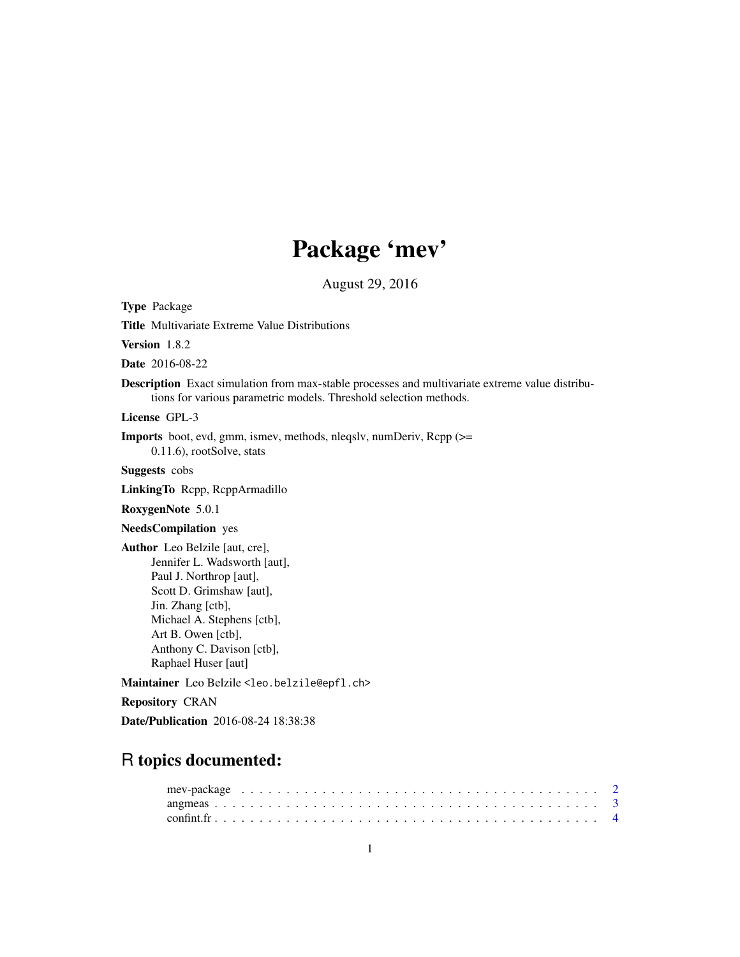# Package 'mev'

August 29, 2016

<span id="page-0-0"></span>Type Package

Title Multivariate Extreme Value Distributions

Version 1.8.2

Date 2016-08-22

Description Exact simulation from max-stable processes and multivariate extreme value distributions for various parametric models. Threshold selection methods.

License GPL-3

Imports boot, evd, gmm, ismev, methods, nleqslv, numDeriv, Rcpp (>= 0.11.6), rootSolve, stats

Suggests cobs

LinkingTo Rcpp, RcppArmadillo

RoxygenNote 5.0.1

NeedsCompilation yes

Author Leo Belzile [aut, cre], Jennifer L. Wadsworth [aut], Paul J. Northrop [aut], Scott D. Grimshaw [aut], Jin. Zhang [ctb], Michael A. Stephens [ctb], Art B. Owen [ctb], Anthony C. Davison [ctb], Raphael Huser [aut]

Maintainer Leo Belzile <leo.belzile@epfl.ch>

Repository CRAN

Date/Publication 2016-08-24 18:38:38

# R topics documented: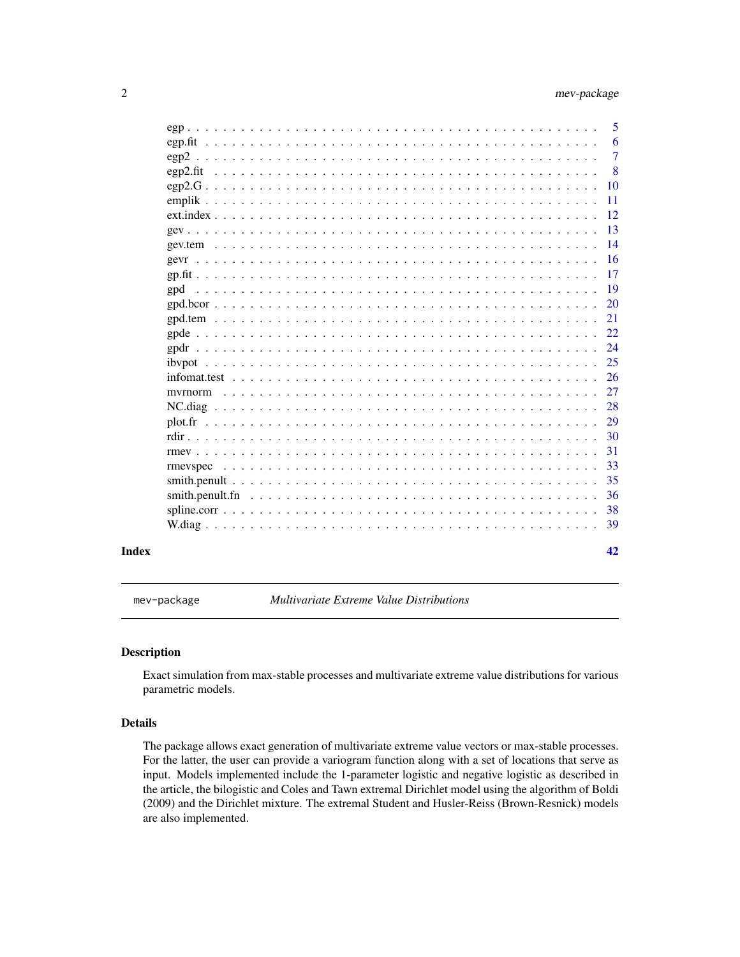<span id="page-1-0"></span>

|       |                                                                                                        | 5               |
|-------|--------------------------------------------------------------------------------------------------------|-----------------|
|       |                                                                                                        | 6               |
|       |                                                                                                        | $\overline{7}$  |
|       |                                                                                                        | 8               |
|       |                                                                                                        | 10              |
|       |                                                                                                        | $\overline{11}$ |
|       |                                                                                                        | -12             |
|       |                                                                                                        | -13             |
|       |                                                                                                        |                 |
|       |                                                                                                        |                 |
|       |                                                                                                        | 17              |
|       |                                                                                                        |                 |
|       | $\text{gpd.bcor}\dots\dots\dots\dots\dots\dots\dots\dots\dots\dots\dots\dots\dots\dots\dots\dots\dots$ |                 |
|       |                                                                                                        |                 |
|       |                                                                                                        | 22              |
|       |                                                                                                        | 24              |
|       |                                                                                                        | 25              |
|       |                                                                                                        |                 |
|       |                                                                                                        | 27              |
|       |                                                                                                        | 28              |
|       |                                                                                                        | 29              |
|       |                                                                                                        | -30             |
|       |                                                                                                        | 31              |
|       |                                                                                                        | 33              |
|       |                                                                                                        | 35              |
|       |                                                                                                        | 36              |
|       |                                                                                                        |                 |
|       |                                                                                                        | 39              |
| Index |                                                                                                        | 42              |

mev-package *Multivariate Extreme Value Distributions*

# Description

Exact simulation from max-stable processes and multivariate extreme value distributions for various parametric models.

# Details

The package allows exact generation of multivariate extreme value vectors or max-stable processes. For the latter, the user can provide a variogram function along with a set of locations that serve as input. Models implemented include the 1-parameter logistic and negative logistic as described in the article, the bilogistic and Coles and Tawn extremal Dirichlet model using the algorithm of Boldi (2009) and the Dirichlet mixture. The extremal Student and Husler-Reiss (Brown-Resnick) models are also implemented.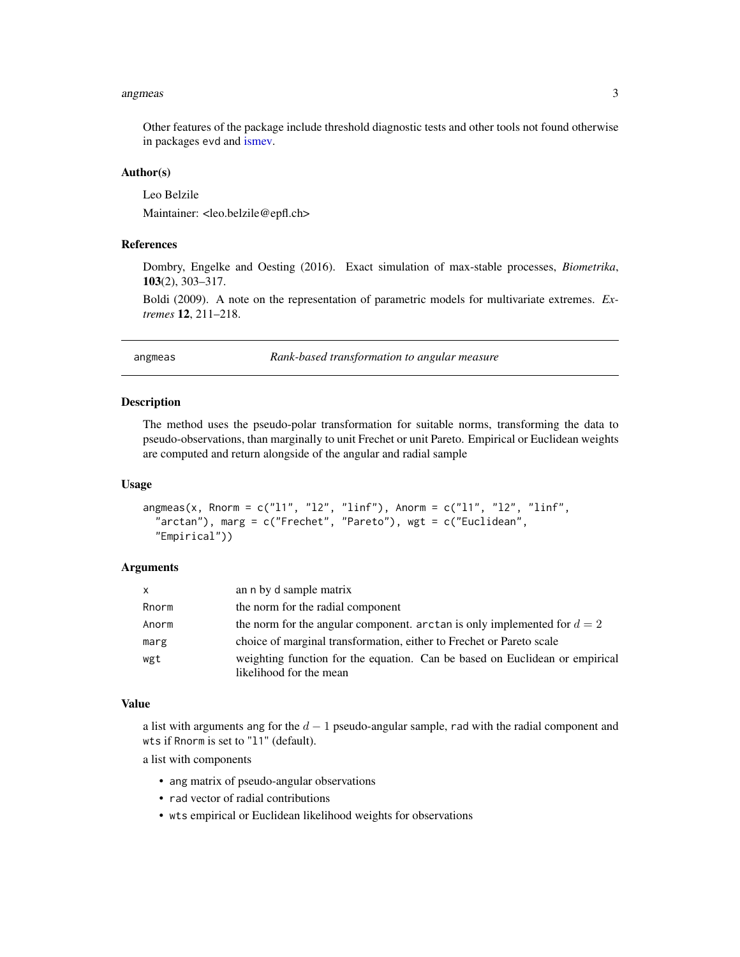#### <span id="page-2-0"></span>angmeas 3

Other features of the package include threshold diagnostic tests and other tools not found otherwise in packages evd and [ismev.](#page-0-0)

# Author(s)

Leo Belzile

Maintainer: <leo.belzile@epfl.ch>

# References

Dombry, Engelke and Oesting (2016). Exact simulation of max-stable processes, *Biometrika*, 103(2), 303–317.

Boldi (2009). A note on the representation of parametric models for multivariate extremes. *Extremes* 12, 211–218.

angmeas *Rank-based transformation to angular measure*

#### **Description**

The method uses the pseudo-polar transformation for suitable norms, transforming the data to pseudo-observations, than marginally to unit Frechet or unit Pareto. Empirical or Euclidean weights are computed and return alongside of the angular and radial sample

#### Usage

```
angmeas(x, Rnorm = c("11", "12", "linf"), Anorm = c("11", "12", "linf","arctan"), marg = c("Frechet", "Pareto"), wgt = c("Euclidean",
  "Empirical"))
```
#### Arguments

| $\mathsf{x}$ | an n by d sample matrix                                                     |
|--------------|-----------------------------------------------------------------------------|
| Rnorm        | the norm for the radial component                                           |
| Anorm        | the norm for the angular component. arctan is only implemented for $d=2$    |
| marg         | choice of marginal transformation, either to Frechet or Pareto scale        |
| wgt          | weighting function for the equation. Can be based on Euclidean or empirical |
|              | likelihood for the mean                                                     |

#### Value

a list with arguments ang for the  $d-1$  pseudo-angular sample, rad with the radial component and wts if Rnorm is set to "l1" (default).

a list with components

- ang matrix of pseudo-angular observations
- rad vector of radial contributions
- wts empirical or Euclidean likelihood weights for observations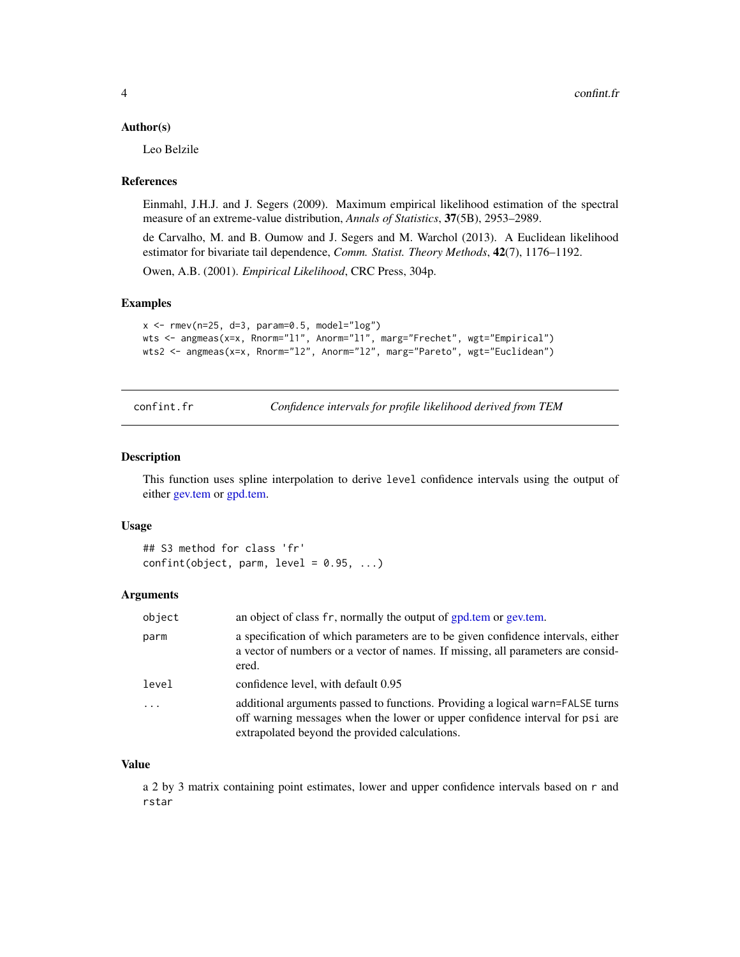#### <span id="page-3-0"></span>Author(s)

Leo Belzile

#### References

Einmahl, J.H.J. and J. Segers (2009). Maximum empirical likelihood estimation of the spectral measure of an extreme-value distribution, *Annals of Statistics*, 37(5B), 2953–2989.

de Carvalho, M. and B. Oumow and J. Segers and M. Warchol (2013). A Euclidean likelihood estimator for bivariate tail dependence, *Comm. Statist. Theory Methods*, 42(7), 1176–1192.

Owen, A.B. (2001). *Empirical Likelihood*, CRC Press, 304p.

# Examples

```
x \le - rmev(n=25, d=3, param=0.5, model="log")
wts <- angmeas(x=x, Rnorm="l1", Anorm="l1", marg="Frechet", wgt="Empirical")
wts2 <- angmeas(x=x, Rnorm="12", Anorm="12", marg="Pareto", wgt="Euclidean")
```
confint.fr *Confidence intervals for profile likelihood derived from TEM*

# Description

This function uses spline interpolation to derive level confidence intervals using the output of either [gev.tem](#page-13-1) or [gpd.tem.](#page-20-1)

#### Usage

## S3 method for class 'fr'  $confint(object, parm, level = 0.95, ...)$ 

#### Arguments

| object   | an object of class fr, normally the output of gpd.tem or gev.tem.                                                                                                                                                |
|----------|------------------------------------------------------------------------------------------------------------------------------------------------------------------------------------------------------------------|
| parm     | a specification of which parameters are to be given confidence intervals, either<br>a vector of numbers or a vector of names. If missing, all parameters are consid-<br>ered.                                    |
| level    | confidence level, with default 0.95                                                                                                                                                                              |
| $\ddots$ | additional arguments passed to functions. Providing a logical warn=FALSE turns<br>off warning messages when the lower or upper confidence interval for psi are<br>extrapolated beyond the provided calculations. |

# Value

a 2 by 3 matrix containing point estimates, lower and upper confidence intervals based on r and rstar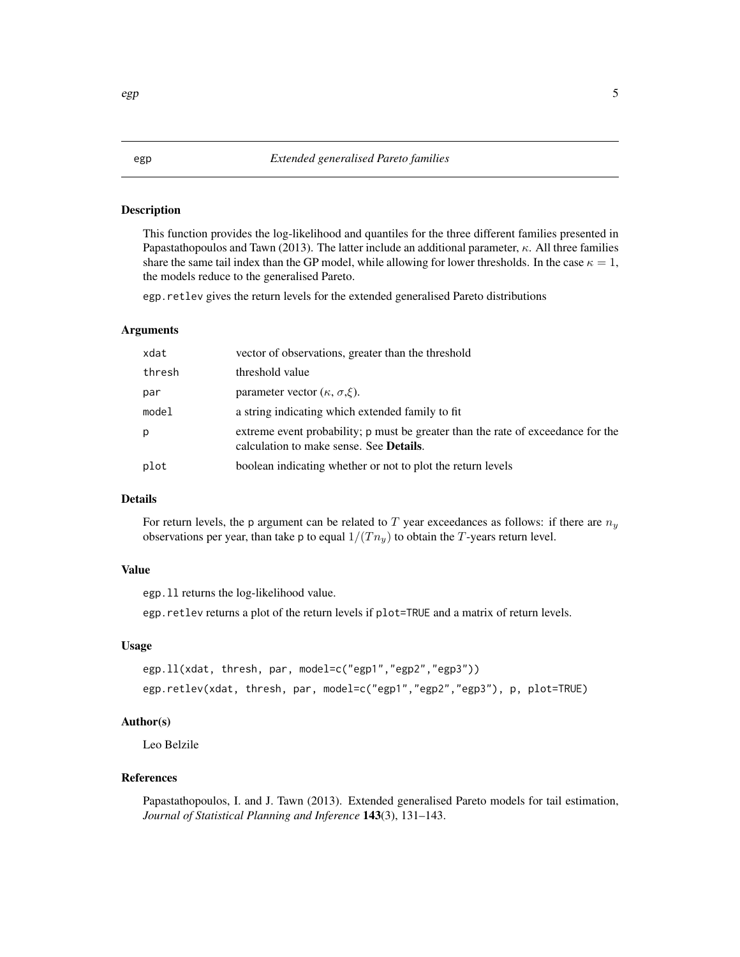# <span id="page-4-1"></span><span id="page-4-0"></span>Description

This function provides the log-likelihood and quantiles for the three different families presented in Papastathopoulos and Tawn (2013). The latter include an additional parameter,  $\kappa$ . All three families share the same tail index than the GP model, while allowing for lower thresholds. In the case  $\kappa = 1$ , the models reduce to the generalised Pareto.

egp.retlev gives the return levels for the extended generalised Pareto distributions

# Arguments

| xdat   | vector of observations, greater than the threshold                                                                                  |
|--------|-------------------------------------------------------------------------------------------------------------------------------------|
| thresh | threshold value                                                                                                                     |
| par    | parameter vector $(\kappa, \sigma, \xi)$ .                                                                                          |
| model  | a string indicating which extended family to fit.                                                                                   |
| р      | extreme event probability; p must be greater than the rate of exceedance for the<br>calculation to make sense. See <b>Details</b> . |
| plot   | boolean indicating whether or not to plot the return levels                                                                         |

# Details

For return levels, the p argument can be related to T year exceedances as follows: if there are  $n_y$ observations per year, than take p to equal  $1/(T n_y)$  to obtain the T-years return level.

# Value

egp.ll returns the log-likelihood value.

egp.retlev returns a plot of the return levels if plot=TRUE and a matrix of return levels.

# Usage

```
egp.ll(xdat, thresh, par, model=c("egp1","egp2","egp3"))
egp.retlev(xdat, thresh, par, model=c("egp1","egp2","egp3"), p, plot=TRUE)
```
# Author(s)

Leo Belzile

# References

Papastathopoulos, I. and J. Tawn (2013). Extended generalised Pareto models for tail estimation, *Journal of Statistical Planning and Inference* 143(3), 131–143.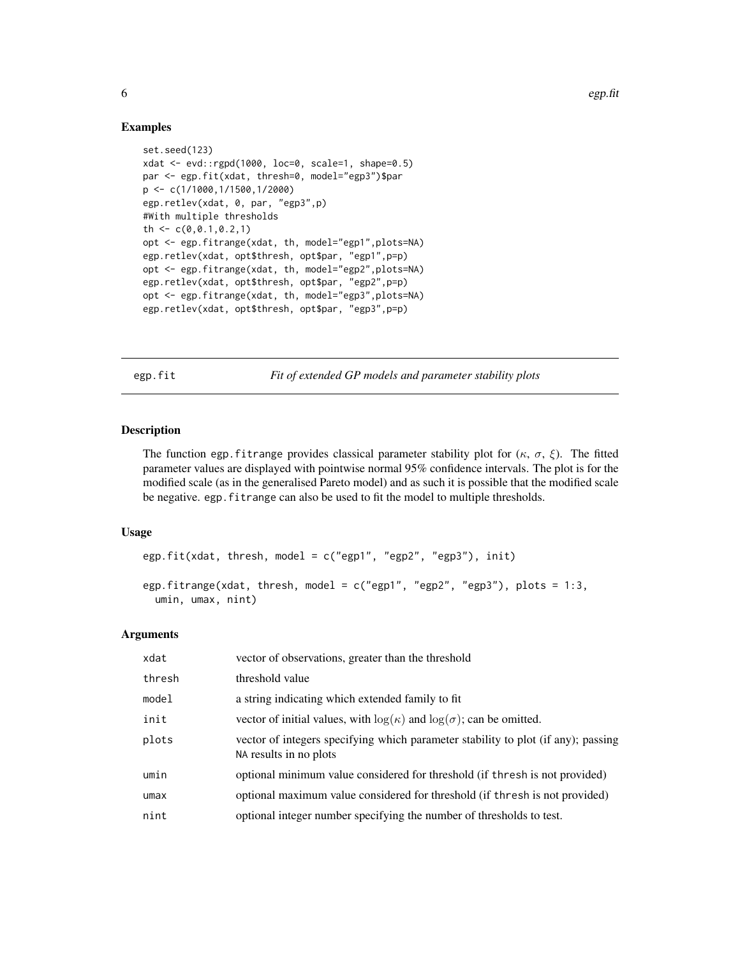# Examples

```
set.seed(123)
xdat <- evd::rgpd(1000, loc=0, scale=1, shape=0.5)
par <- egp.fit(xdat, thresh=0, model="egp3")$par
p <- c(1/1000,1/1500,1/2000)
egp.retlev(xdat, 0, par, "egp3",p)
#With multiple thresholds
th \leq c(0, 0.1, 0.2, 1)opt <- egp.fitrange(xdat, th, model="egp1",plots=NA)
egp.retlev(xdat, opt$thresh, opt$par, "egp1",p=p)
opt <- egp.fitrange(xdat, th, model="egp2",plots=NA)
egp.retlev(xdat, opt$thresh, opt$par, "egp2",p=p)
opt <- egp.fitrange(xdat, th, model="egp3",plots=NA)
egp.retlev(xdat, opt$thresh, opt$par, "egp3",p=p)
```
<span id="page-5-1"></span>egp.fit *Fit of extended GP models and parameter stability plots*

# Description

The function egp. fit range provides classical parameter stability plot for  $(\kappa, \sigma, \xi)$ . The fitted parameter values are displayed with pointwise normal 95% confidence intervals. The plot is for the modified scale (as in the generalised Pareto model) and as such it is possible that the modified scale be negative. egp.fitrange can also be used to fit the model to multiple thresholds.

# Usage

```
egp.fit(xdat, thresh, model = c("egp1", "egp2", "egp3"), init)
```

```
egp.fitrange(xdat, thresh, model = c("egp1", "egp2", "egp3"), plots = 1:3,
 umin, umax, nint)
```
# Arguments

| xdat   | vector of observations, greater than the threshold                                                          |
|--------|-------------------------------------------------------------------------------------------------------------|
| thresh | threshold value                                                                                             |
| model  | a string indicating which extended family to fit.                                                           |
| init   | vector of initial values, with $log(\kappa)$ and $log(\sigma)$ ; can be omitted.                            |
| plots  | vector of integers specifying which parameter stability to plot (if any); passing<br>NA results in no plots |
| umin   | optional minimum value considered for threshold (if thresh is not provided)                                 |
| umax   | optional maximum value considered for threshold (if thresh is not provided)                                 |
| nint   | optional integer number specifying the number of thresholds to test.                                        |

<span id="page-5-0"></span>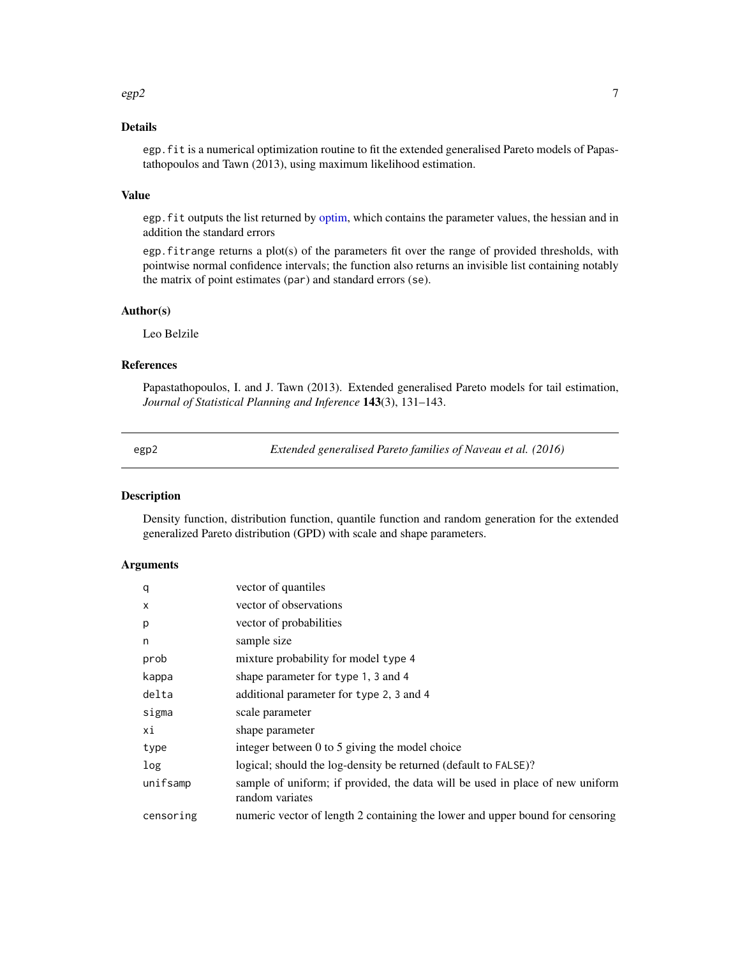#### <span id="page-6-0"></span> $e$ gp2 7

# Details

egp.fit is a numerical optimization routine to fit the extended generalised Pareto models of Papastathopoulos and Tawn (2013), using maximum likelihood estimation.

# Value

egp.fit outputs the list returned by [optim,](#page-0-0) which contains the parameter values, the hessian and in addition the standard errors

egp.fitrange returns a plot(s) of the parameters fit over the range of provided thresholds, with pointwise normal confidence intervals; the function also returns an invisible list containing notably the matrix of point estimates (par) and standard errors (se).

#### Author(s)

Leo Belzile

# References

Papastathopoulos, I. and J. Tawn (2013). Extended generalised Pareto models for tail estimation, *Journal of Statistical Planning and Inference* 143(3), 131–143.

<span id="page-6-1"></span>

egp2 *Extended generalised Pareto families of Naveau et al. (2016)*

# Description

Density function, distribution function, quantile function and random generation for the extended generalized Pareto distribution (GPD) with scale and shape parameters.

# Arguments

| q         | vector of quantiles                                                                              |
|-----------|--------------------------------------------------------------------------------------------------|
| X         | vector of observations                                                                           |
| p         | vector of probabilities                                                                          |
| n         | sample size                                                                                      |
| prob      | mixture probability for model type 4                                                             |
| kappa     | shape parameter for type 1, 3 and 4                                                              |
| delta     | additional parameter for type 2, 3 and 4                                                         |
| sigma     | scale parameter                                                                                  |
| хi        | shape parameter                                                                                  |
| type      | integer between 0 to 5 giving the model choice                                                   |
| log       | logical; should the log-density be returned (default to FALSE)?                                  |
| unifsamp  | sample of uniform; if provided, the data will be used in place of new uniform<br>random variates |
| censoring | numeric vector of length 2 containing the lower and upper bound for censoring                    |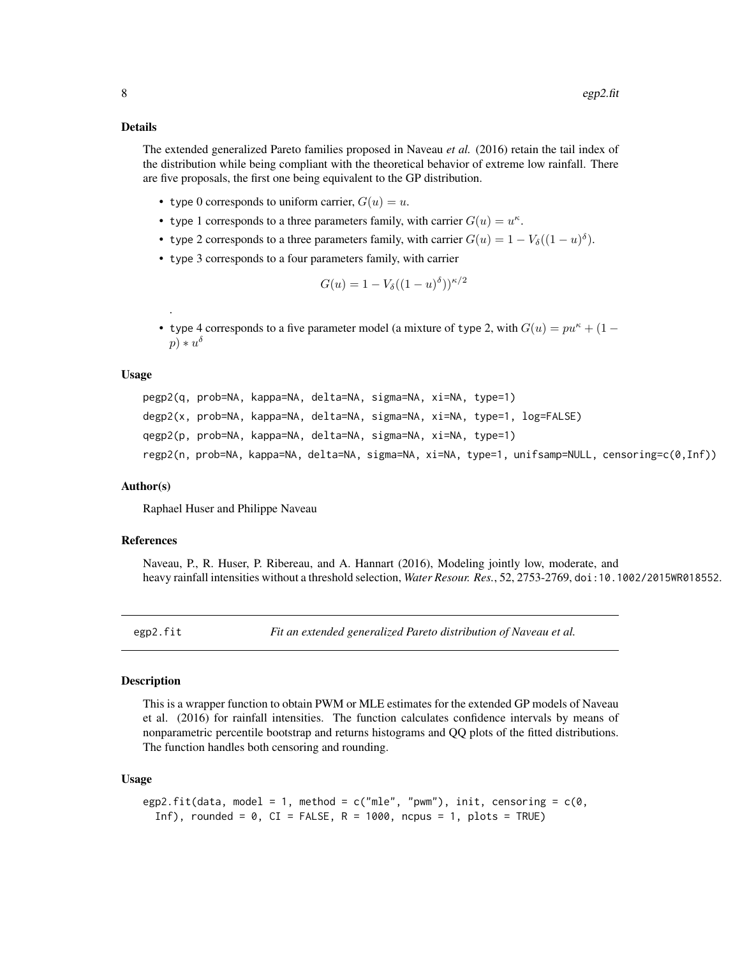#### <span id="page-7-0"></span>Details

The extended generalized Pareto families proposed in Naveau *et al.* (2016) retain the tail index of the distribution while being compliant with the theoretical behavior of extreme low rainfall. There are five proposals, the first one being equivalent to the GP distribution.

- type 0 corresponds to uniform carrier,  $G(u) = u$ .
- type 1 corresponds to a three parameters family, with carrier  $G(u) = u^{\kappa}$ .
- type 2 corresponds to a three parameters family, with carrier  $G(u) = 1 V_\delta((1 u)^\delta)$ .
- type 3 corresponds to a four parameters family, with carrier

$$
G(u) = 1 - V_{\delta}((1-u)^{\delta}))^{\kappa/2}
$$

• type 4 corresponds to a five parameter model (a mixture of type 2, with  $G(u) = pu^{\kappa} + (1$  $p) * u^{\delta}$ 

#### Usage

.

```
pegp2(q, prob=NA, kappa=NA, delta=NA, sigma=NA, xi=NA, type=1)
degp2(x, prob=NA, kappa=NA, delta=NA, sigma=NA, xi=NA, type=1, log=FALSE)
qegp2(p, prob=NA, kappa=NA, delta=NA, sigma=NA, xi=NA, type=1)
regp2(n, prob=NA, kappa=NA, delta=NA, sigma=NA, xi=NA, type=1, unifsamp=NULL, censoring=c(0,Inf))
```
#### Author(s)

Raphael Huser and Philippe Naveau

# References

Naveau, P., R. Huser, P. Ribereau, and A. Hannart (2016), Modeling jointly low, moderate, and heavy rainfall intensities without a threshold selection, *Water Resour. Res.*, 52, 2753-2769, doi:10.1002/2015WR018552.

egp2.fit *Fit an extended generalized Pareto distribution of Naveau et al.*

#### Description

This is a wrapper function to obtain PWM or MLE estimates for the extended GP models of Naveau et al. (2016) for rainfall intensities. The function calculates confidence intervals by means of nonparametric percentile bootstrap and returns histograms and QQ plots of the fitted distributions. The function handles both censoring and rounding.

# Usage

```
egp2.fit(data, model = 1, method = c("mle", "pwm"), init, censoring = c(0,Inf), rounded = 0, CI = FALSE, R = 1000, ncpus = 1, plots = TRUE)
```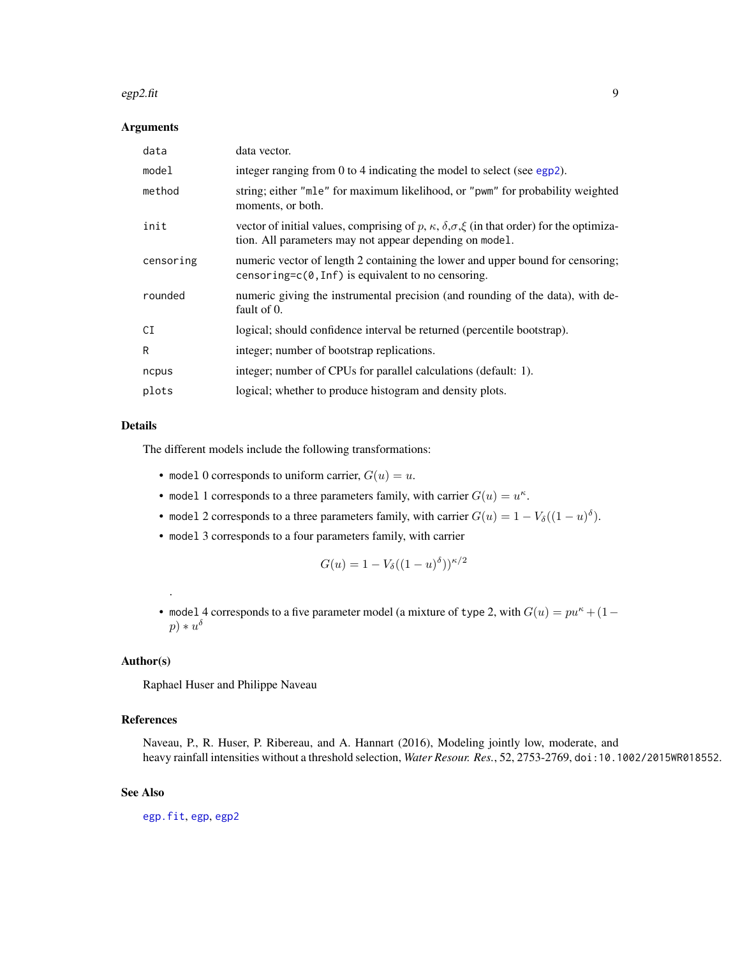#### <span id="page-8-0"></span> $e$ gp2.fit 99

# Arguments

| data      | data vector.                                                                                                                                                                   |
|-----------|--------------------------------------------------------------------------------------------------------------------------------------------------------------------------------|
| model     | integer ranging from 0 to 4 indicating the model to select (see egp2).                                                                                                         |
| method    | string; either "mle" for maximum likelihood, or "pwm" for probability weighted<br>moments, or both.                                                                            |
| init      | vector of initial values, comprising of p, $\kappa$ , $\delta$ , $\sigma$ , $\xi$ (in that order) for the optimiza-<br>tion. All parameters may not appear depending on model. |
| censoring | numeric vector of length 2 containing the lower and upper bound for censoring;<br>censoring= $c(0, \text{Inf})$ is equivalent to no censoring.                                 |
| rounded   | numeric giving the instrumental precision (and rounding of the data), with de-<br>fault of 0.                                                                                  |
| СI        | logical; should confidence interval be returned (percentile bootstrap).                                                                                                        |
| R         | integer; number of bootstrap replications.                                                                                                                                     |
| ncpus     | integer; number of CPUs for parallel calculations (default: 1).                                                                                                                |
| plots     | logical; whether to produce histogram and density plots.                                                                                                                       |

# Details

The different models include the following transformations:

- model 0 corresponds to uniform carrier,  $G(u) = u$ .
- model 1 corresponds to a three parameters family, with carrier  $G(u) = u^k$ .
- model 2 corresponds to a three parameters family, with carrier  $G(u) = 1 V_{\delta}((1-u)^{\delta}).$
- model 3 corresponds to a four parameters family, with carrier

$$
G(u) = 1 - V_{\delta}((1-u)^{\delta}))^{\kappa/2}
$$

• model 4 corresponds to a five parameter model (a mixture of type 2, with  $G(u) = pu^{\kappa} + (1$  $p) * u^{\delta}$ 

# Author(s)

.

Raphael Huser and Philippe Naveau

# References

Naveau, P., R. Huser, P. Ribereau, and A. Hannart (2016), Modeling jointly low, moderate, and heavy rainfall intensities without a threshold selection, *Water Resour. Res.*, 52, 2753-2769, doi:10.1002/2015WR018552.

# See Also

[egp.fit](#page-5-1), [egp](#page-4-1), [egp2](#page-6-1)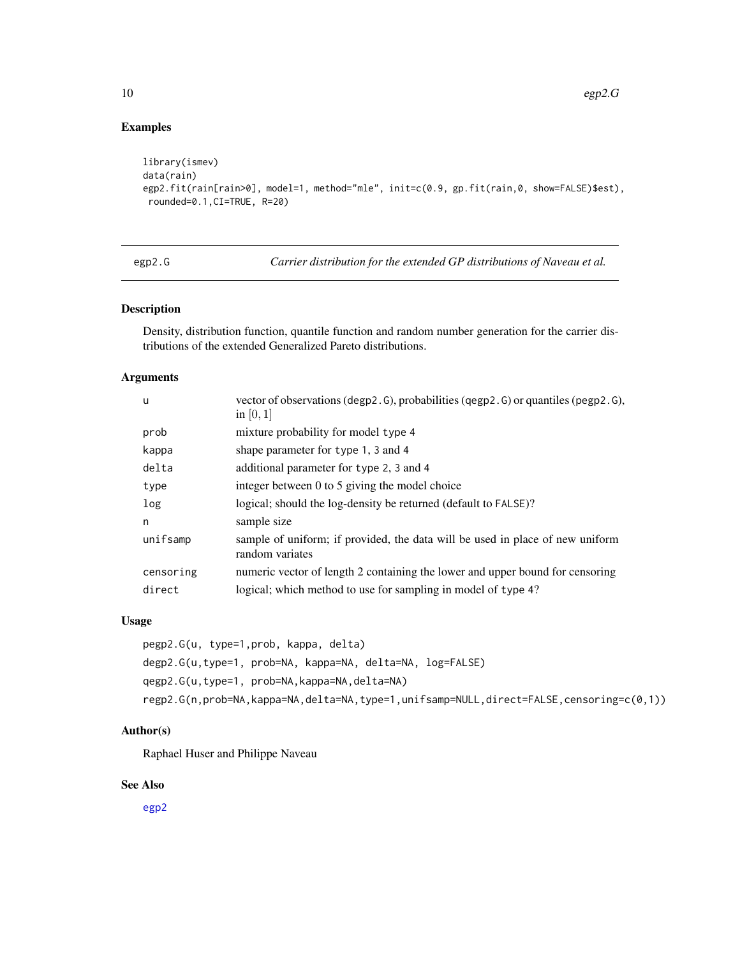# Examples

```
library(ismev)
data(rain)
egp2.fit(rain[rain>0], model=1, method="mle", init=c(0.9, gp.fit(rain,0, show=FALSE)$est),
rounded=0.1,CI=TRUE, R=20)
```
egp2.G *Carrier distribution for the extended GP distributions of Naveau et al.*

# Description

Density, distribution function, quantile function and random number generation for the carrier distributions of the extended Generalized Pareto distributions.

# Arguments

| u         | vector of observations (degp2. G), probabilities (qegp2. G) or quantiles (pegp2. G),<br>in $[0,1]$ |
|-----------|----------------------------------------------------------------------------------------------------|
| prob      | mixture probability for model type 4                                                               |
| kappa     | shape parameter for type 1, 3 and 4                                                                |
| delta     | additional parameter for type 2, 3 and 4                                                           |
| type      | integer between 0 to 5 giving the model choice                                                     |
| log       | logical; should the log-density be returned (default to FALSE)?                                    |
| n         | sample size                                                                                        |
| unifsamp  | sample of uniform; if provided, the data will be used in place of new uniform<br>random variates   |
| censoring | numeric vector of length 2 containing the lower and upper bound for censoring                      |
| direct    | logical; which method to use for sampling in model of type 4?                                      |

# Usage

pegp2.G(u, type=1,prob, kappa, delta) degp2.G(u,type=1, prob=NA, kappa=NA, delta=NA, log=FALSE) qegp2.G(u,type=1, prob=NA,kappa=NA,delta=NA) regp2.G(n,prob=NA,kappa=NA,delta=NA,type=1,unifsamp=NULL,direct=FALSE,censoring=c(0,1))

# Author(s)

Raphael Huser and Philippe Naveau

# See Also

[egp2](#page-6-1)

<span id="page-9-0"></span>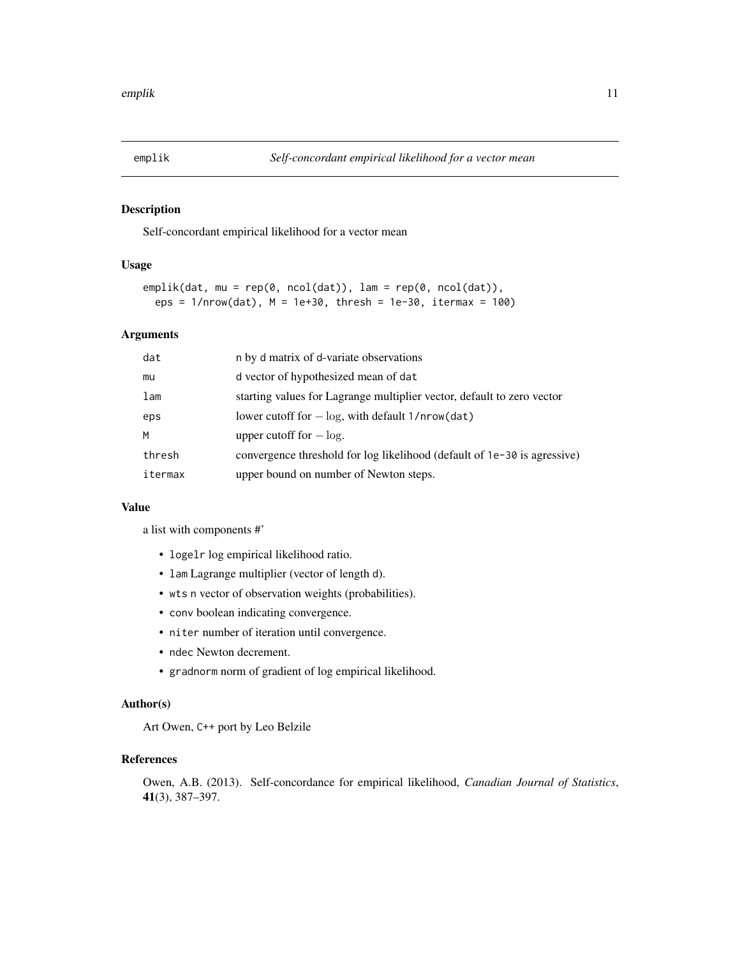<span id="page-10-0"></span>

### Description

Self-concordant empirical likelihood for a vector mean

# Usage

```
emplik(dat, mu = rep(0, ncol(dat)), lam = rep(0, ncol(dat)),
  eps = 1/nrow(dat), M = 1e+30, thresh = 1e-30, itermax = 100)
```
#### Arguments

| dat     | n by d matrix of d-variate observations                                  |
|---------|--------------------------------------------------------------------------|
| mu      | d vector of hypothesized mean of dat                                     |
| lam     | starting values for Lagrange multiplier vector, default to zero vector   |
| eps     | lower cutoff for $-\log$ , with default 1/nrow(dat)                      |
| M       | upper cutoff for $-\log$ .                                               |
| thresh  | convergence threshold for log likelihood (default of 1e-30 is agressive) |
| itermax | upper bound on number of Newton steps.                                   |

#### Value

a list with components #'

- logelr log empirical likelihood ratio.
- lam Lagrange multiplier (vector of length d).
- wts n vector of observation weights (probabilities).
- conv boolean indicating convergence.
- niter number of iteration until convergence.
- ndec Newton decrement.
- gradnorm norm of gradient of log empirical likelihood.

# Author(s)

Art Owen, C++ port by Leo Belzile

# References

Owen, A.B. (2013). Self-concordance for empirical likelihood, *Canadian Journal of Statistics*, 41(3), 387–397.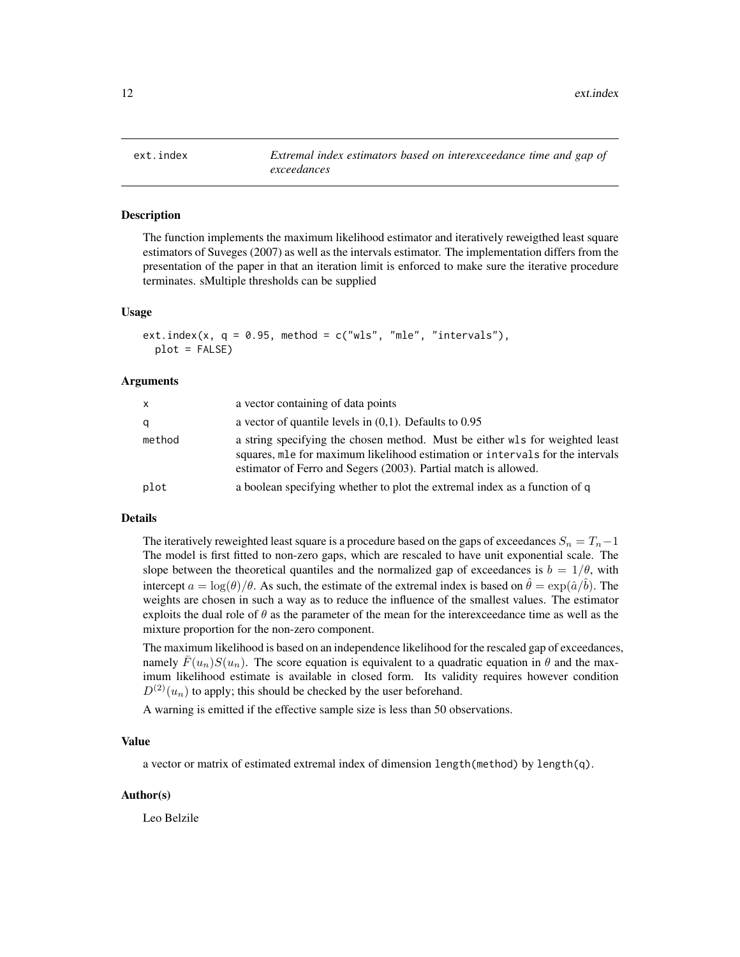<span id="page-11-0"></span>

#### Description

The function implements the maximum likelihood estimator and iteratively reweigthed least square estimators of Suveges (2007) as well as the intervals estimator. The implementation differs from the presentation of the paper in that an iteration limit is enforced to make sure the iterative procedure terminates. sMultiple thresholds can be supplied

#### Usage

```
ext.index(x, q = 0.95, method = c("wls", "mle", "intervals"),plot = FALSE)
```
#### Arguments

| X      | a vector containing of data points                                                                                                                                                                                               |
|--------|----------------------------------------------------------------------------------------------------------------------------------------------------------------------------------------------------------------------------------|
| q      | a vector of quantile levels in $(0,1)$ . Defaults to 0.95                                                                                                                                                                        |
| method | a string specifying the chosen method. Must be either wls for weighted least<br>squares, mle for maximum likelihood estimation or intervals for the intervals<br>estimator of Ferro and Segers (2003). Partial match is allowed. |
| plot   | a boolean specifying whether to plot the extremal index as a function of q                                                                                                                                                       |

# Details

The iteratively reweighted least square is a procedure based on the gaps of exceedances  $S_n = T_n - 1$ The model is first fitted to non-zero gaps, which are rescaled to have unit exponential scale. The slope between the theoretical quantiles and the normalized gap of exceedances is  $b = 1/\theta$ , with intercept  $a = \log(\theta)/\theta$ . As such, the estimate of the extremal index is based on  $\hat{\theta} = \exp(\hat{a}/\hat{b})$ . The weights are chosen in such a way as to reduce the influence of the smallest values. The estimator exploits the dual role of  $\theta$  as the parameter of the mean for the interexceedance time as well as the mixture proportion for the non-zero component.

The maximum likelihood is based on an independence likelihood for the rescaled gap of exceedances, namely  $F(u_n)S(u_n)$ . The score equation is equivalent to a quadratic equation in  $\theta$  and the maximum likelihood estimate is available in closed form. Its validity requires however condition  $D^{(2)}(u_n)$  to apply; this should be checked by the user beforehand.

A warning is emitted if the effective sample size is less than 50 observations.

# Value

a vector or matrix of estimated extremal index of dimension length(method) by length(q).

# Author(s)

Leo Belzile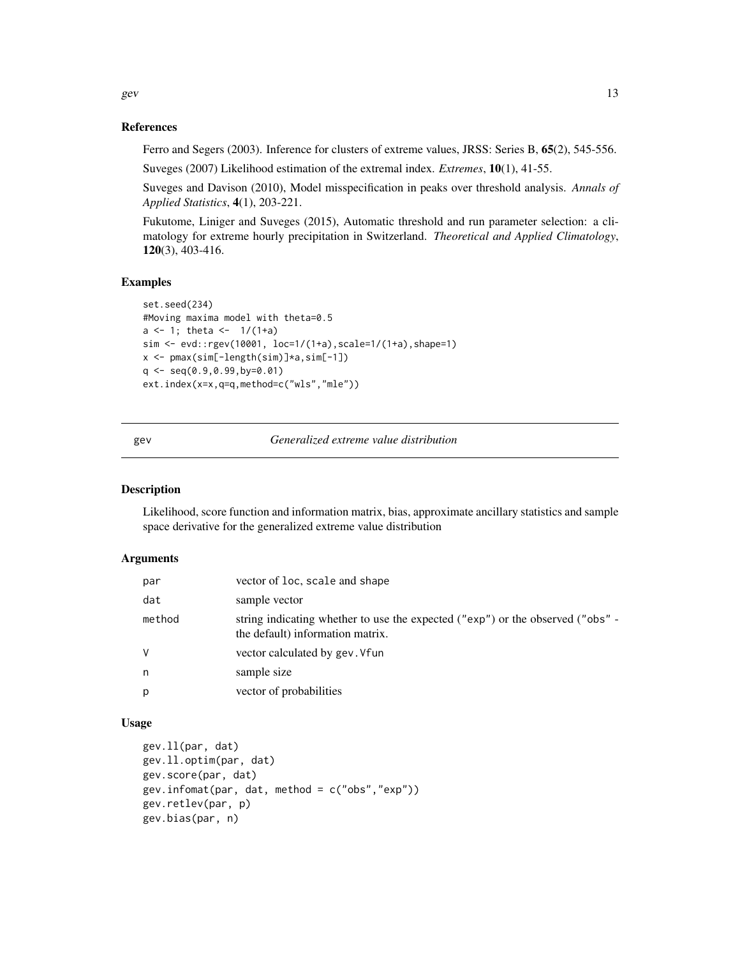References

Ferro and Segers (2003). Inference for clusters of extreme values, JRSS: Series B, 65(2), 545-556.

Suveges (2007) Likelihood estimation of the extremal index. *Extremes*, 10(1), 41-55.

Suveges and Davison (2010), Model misspecification in peaks over threshold analysis. *Annals of Applied Statistics*, 4(1), 203-221.

Fukutome, Liniger and Suveges (2015), Automatic threshold and run parameter selection: a climatology for extreme hourly precipitation in Switzerland. *Theoretical and Applied Climatology*, 120(3), 403-416.

#### Examples

```
set.seed(234)
#Moving maxima model with theta=0.5
a \leftarrow 1; theta <- 1/(1+a)sim <- evd::rgev(10001, loc=1/(1+a),scale=1/(1+a),shape=1)
x <- pmax(sim[-length(sim)]*a,sim[-1])
q <- seq(0.9,0.99,by=0.01)
ext.index(x=x,q=q,method=c("wls","mle"))
```
gev *Generalized extreme value distribution*

# Description

Likelihood, score function and information matrix, bias, approximate ancillary statistics and sample space derivative for the generalized extreme value distribution

# Arguments

| par    | vector of loc, scale and shape                                                                                     |
|--------|--------------------------------------------------------------------------------------------------------------------|
| dat    | sample vector                                                                                                      |
| method | string indicating whether to use the expected ("exp") or the observed ("obs" -<br>the default) information matrix. |
| V      | vector calculated by gev. Vfun                                                                                     |
| n      | sample size                                                                                                        |
| p      | vector of probabilities                                                                                            |

# Usage

```
gev.ll(par, dat)
gev.ll.optim(par, dat)
gev.score(par, dat)
gev.infomat(par, dat, method = c("obs","exp"))
gev.retlev(par, p)
gev.bias(par, n)
```
<span id="page-12-0"></span>gev and  $\frac{13}{2}$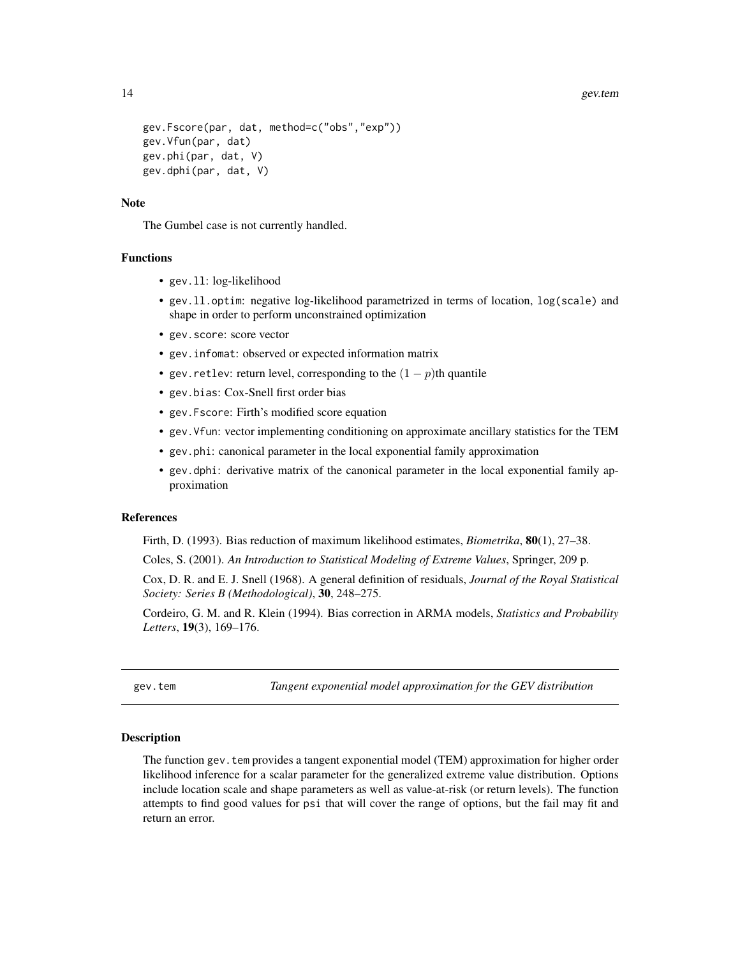```
gev.Fscore(par, dat, method=c("obs","exp"))
gev.Vfun(par, dat)
gev.phi(par, dat, V)
gev.dphi(par, dat, V)
```
# **Note**

The Gumbel case is not currently handled.

#### Functions

- gev.ll: log-likelihood
- gev.ll.optim: negative log-likelihood parametrized in terms of location, log(scale) and shape in order to perform unconstrained optimization
- gev.score: score vector
- gev.infomat: observed or expected information matrix
- gev. retlev: return level, corresponding to the  $(1 p)$ th quantile
- gev.bias: Cox-Snell first order bias
- gev.Fscore: Firth's modified score equation
- gev.Vfun: vector implementing conditioning on approximate ancillary statistics for the TEM
- gev.phi: canonical parameter in the local exponential family approximation
- gev.dphi: derivative matrix of the canonical parameter in the local exponential family approximation

# References

Firth, D. (1993). Bias reduction of maximum likelihood estimates, *Biometrika*, 80(1), 27–38.

Coles, S. (2001). *An Introduction to Statistical Modeling of Extreme Values*, Springer, 209 p.

Cox, D. R. and E. J. Snell (1968). A general definition of residuals, *Journal of the Royal Statistical Society: Series B (Methodological)*, 30, 248–275.

Cordeiro, G. M. and R. Klein (1994). Bias correction in ARMA models, *Statistics and Probability Letters*, 19(3), 169–176.

<span id="page-13-1"></span>gev.tem *Tangent exponential model approximation for the GEV distribution*

#### Description

The function gev.tem provides a tangent exponential model (TEM) approximation for higher order likelihood inference for a scalar parameter for the generalized extreme value distribution. Options include location scale and shape parameters as well as value-at-risk (or return levels). The function attempts to find good values for psi that will cover the range of options, but the fail may fit and return an error.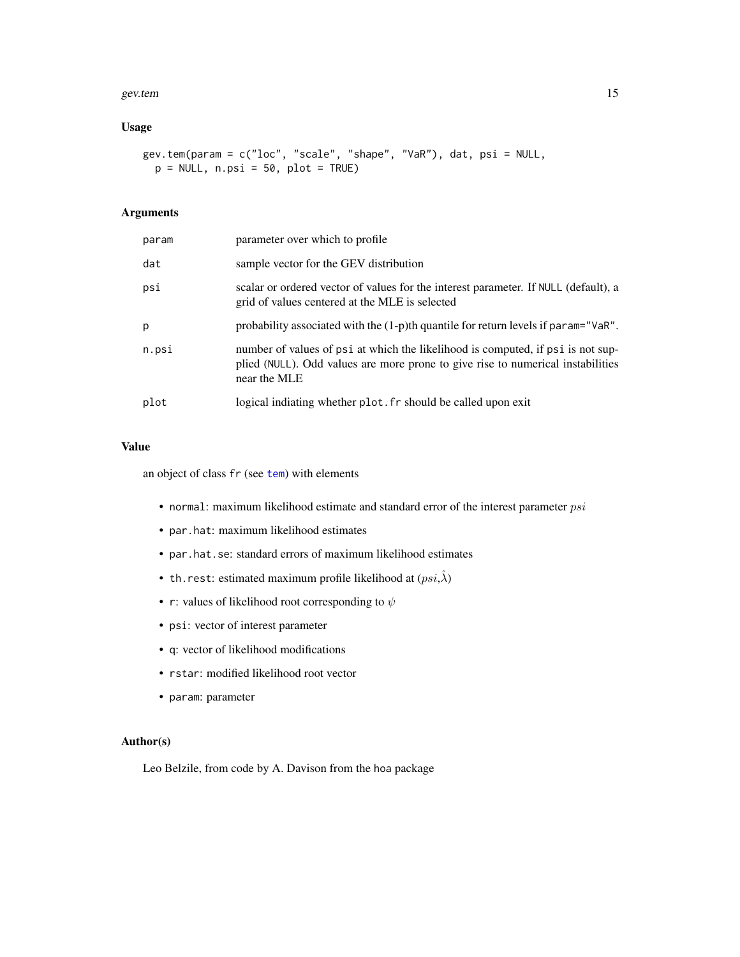#### <span id="page-14-0"></span>gev.tem and the set of the set of the set of the set of the set of the set of the set of the set of the set of the set of the set of the set of the set of the set of the set of the set of the set of the set of the set of t

# Usage

```
gev.tem(param = c("loc", "scale", "shape", "VaR"), dat, psi = NULL,
 p = NULL, n.psi = 50, plot = TRUE
```
# Arguments

| param | parameter over which to profile                                                                                                                                                    |
|-------|------------------------------------------------------------------------------------------------------------------------------------------------------------------------------------|
| dat   | sample vector for the GEV distribution                                                                                                                                             |
| psi   | scalar or ordered vector of values for the interest parameter. If NULL (default), a<br>grid of values centered at the MLE is selected                                              |
| p     | probability associated with the $(1-p)$ th quantile for return levels if param="VaR".                                                                                              |
| n.psi | number of values of psi at which the likelihood is computed, if psi is not sup-<br>plied (NULL). Odd values are more prone to give rise to numerical instabilities<br>near the MLE |
| plot  | logical indiating whether plot. fr should be called upon exit                                                                                                                      |

# Value

an object of class fr (see [tem](#page-0-0)) with elements

- normal: maximum likelihood estimate and standard error of the interest parameter  $psi$
- par.hat: maximum likelihood estimates
- par.hat.se: standard errors of maximum likelihood estimates
- th.rest: estimated maximum profile likelihood at  $(psi,\hat{\lambda})$
- r: values of likelihood root corresponding to  $\psi$
- psi: vector of interest parameter
- q: vector of likelihood modifications
- rstar: modified likelihood root vector
- param: parameter

# Author(s)

Leo Belzile, from code by A. Davison from the hoa package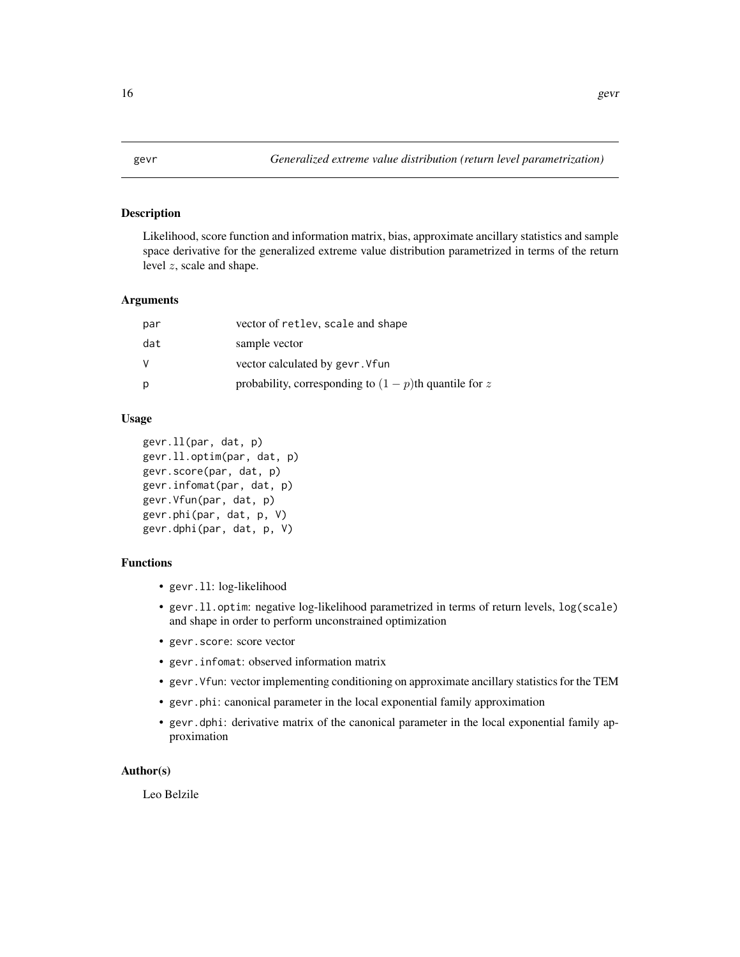# **Description**

Likelihood, score function and information matrix, bias, approximate ancillary statistics and sample space derivative for the generalized extreme value distribution parametrized in terms of the return level z, scale and shape.

# Arguments

| par | vector of retlev, scale and shape                         |
|-----|-----------------------------------------------------------|
| dat | sample vector                                             |
| V   | vector calculated by gevr. Vfun                           |
| р   | probability, corresponding to $(1 - p)$ th quantile for z |

# Usage

```
gevr.ll(par, dat, p)
gevr.ll.optim(par, dat, p)
gevr.score(par, dat, p)
gevr.infomat(par, dat, p)
gevr.Vfun(par, dat, p)
gevr.phi(par, dat, p, V)
gevr.dphi(par, dat, p, V)
```
# Functions

- gevr.ll: log-likelihood
- gevr.ll.optim: negative log-likelihood parametrized in terms of return levels, log(scale) and shape in order to perform unconstrained optimization
- gevr.score: score vector
- gevr.infomat: observed information matrix
- gevr.Vfun: vector implementing conditioning on approximate ancillary statistics for the TEM
- gevr.phi: canonical parameter in the local exponential family approximation
- gevr.dphi: derivative matrix of the canonical parameter in the local exponential family approximation

# Author(s)

Leo Belzile

<span id="page-15-0"></span>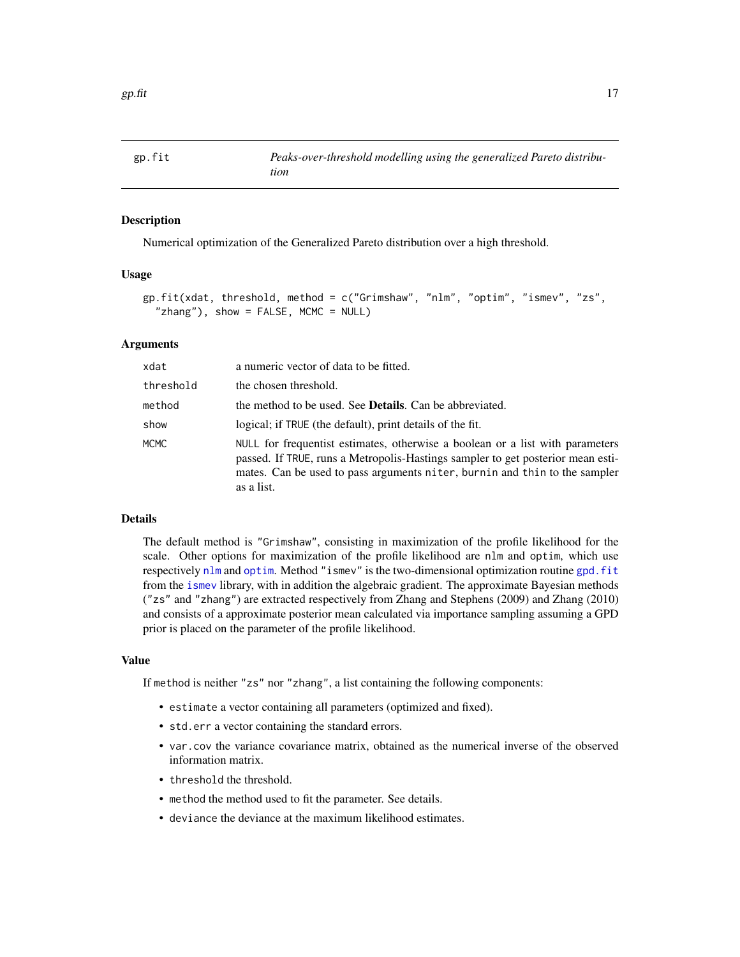<span id="page-16-0"></span>

# Description

Numerical optimization of the Generalized Pareto distribution over a high threshold.

# Usage

```
gp.fit(xdat, threshold, method = c("Grimshaw", "nlm", "optim", "ismev", "zs",
  "zhang"), show = FALSE, MCMC = NULL)
```
# Arguments

| xdat      | a numeric vector of data to be fitted.                                                                                                                                                                                                                       |
|-----------|--------------------------------------------------------------------------------------------------------------------------------------------------------------------------------------------------------------------------------------------------------------|
| threshold | the chosen threshold.                                                                                                                                                                                                                                        |
| method    | the method to be used. See <b>Details</b> . Can be abbreviated.                                                                                                                                                                                              |
| show      | logical; if TRUE (the default), print details of the fit.                                                                                                                                                                                                    |
| MCMC      | NULL for frequentist estimates, otherwise a boolean or a list with parameters<br>passed. If TRUE, runs a Metropolis-Hastings sampler to get posterior mean esti-<br>mates. Can be used to pass arguments niter, burnin and thin to the sampler<br>as a list. |

# Details

The default method is "Grimshaw", consisting in maximization of the profile likelihood for the scale. Other options for maximization of the profile likelihood are nlm and optim, which use respectively [nlm](#page-0-0) and [optim](#page-0-0). Method "ismev" is the two-dimensional optimization routine [gpd.fit](#page-0-0) from the [ismev](#page-0-0) library, with in addition the algebraic gradient. The approximate Bayesian methods ("zs" and "zhang") are extracted respectively from Zhang and Stephens (2009) and Zhang (2010) and consists of a approximate posterior mean calculated via importance sampling assuming a GPD prior is placed on the parameter of the profile likelihood.

#### Value

If method is neither "zs" nor "zhang", a list containing the following components:

- estimate a vector containing all parameters (optimized and fixed).
- std.err a vector containing the standard errors.
- var.cov the variance covariance matrix, obtained as the numerical inverse of the observed information matrix.
- threshold the threshold.
- method the method used to fit the parameter. See details.
- deviance the deviance at the maximum likelihood estimates.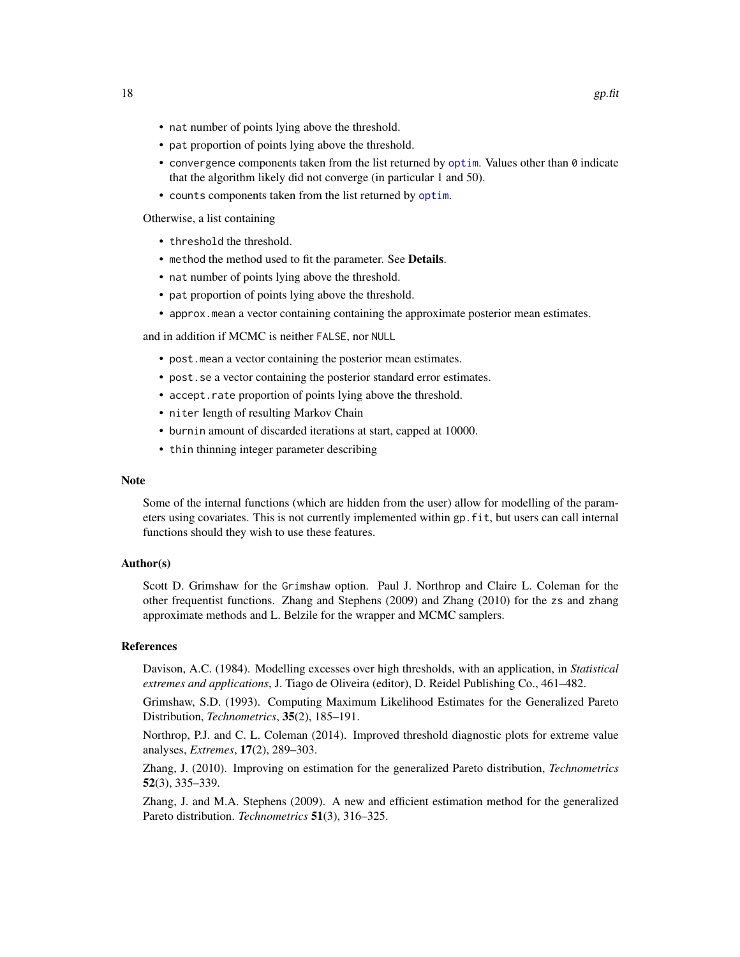- <span id="page-17-0"></span>• nat number of points lying above the threshold.
- pat proportion of points lying above the threshold.
- convergence components taken from the list returned by [optim](#page-0-0). Values other than  $\theta$  indicate that the algorithm likely did not converge (in particular 1 and 50).
- counts components taken from the list returned by [optim](#page-0-0).

Otherwise, a list containing

- threshold the threshold.
- method the method used to fit the parameter. See Details.
- nat number of points lying above the threshold.
- pat proportion of points lying above the threshold.
- approx.mean a vector containing containing the approximate posterior mean estimates.

and in addition if MCMC is neither FALSE, nor NULL

- post.mean a vector containing the posterior mean estimates.
- post.se a vector containing the posterior standard error estimates.
- accept.rate proportion of points lying above the threshold.
- niter length of resulting Markov Chain
- burnin amount of discarded iterations at start, capped at 10000.
- thin thinning integer parameter describing

#### Note

Some of the internal functions (which are hidden from the user) allow for modelling of the parameters using covariates. This is not currently implemented within gp.fit, but users can call internal functions should they wish to use these features.

# Author(s)

Scott D. Grimshaw for the Grimshaw option. Paul J. Northrop and Claire L. Coleman for the other frequentist functions. Zhang and Stephens (2009) and Zhang (2010) for the zs and zhang approximate methods and L. Belzile for the wrapper and MCMC samplers.

#### References

Davison, A.C. (1984). Modelling excesses over high thresholds, with an application, in *Statistical extremes and applications*, J. Tiago de Oliveira (editor), D. Reidel Publishing Co., 461–482.

Grimshaw, S.D. (1993). Computing Maximum Likelihood Estimates for the Generalized Pareto Distribution, *Technometrics*, 35(2), 185–191.

Northrop, P.J. and C. L. Coleman (2014). Improved threshold diagnostic plots for extreme value analyses, *Extremes*, 17(2), 289–303.

Zhang, J. (2010). Improving on estimation for the generalized Pareto distribution, *Technometrics* 52(3), 335–339.

Zhang, J. and M.A. Stephens (2009). A new and efficient estimation method for the generalized Pareto distribution. *Technometrics* 51(3), 316–325.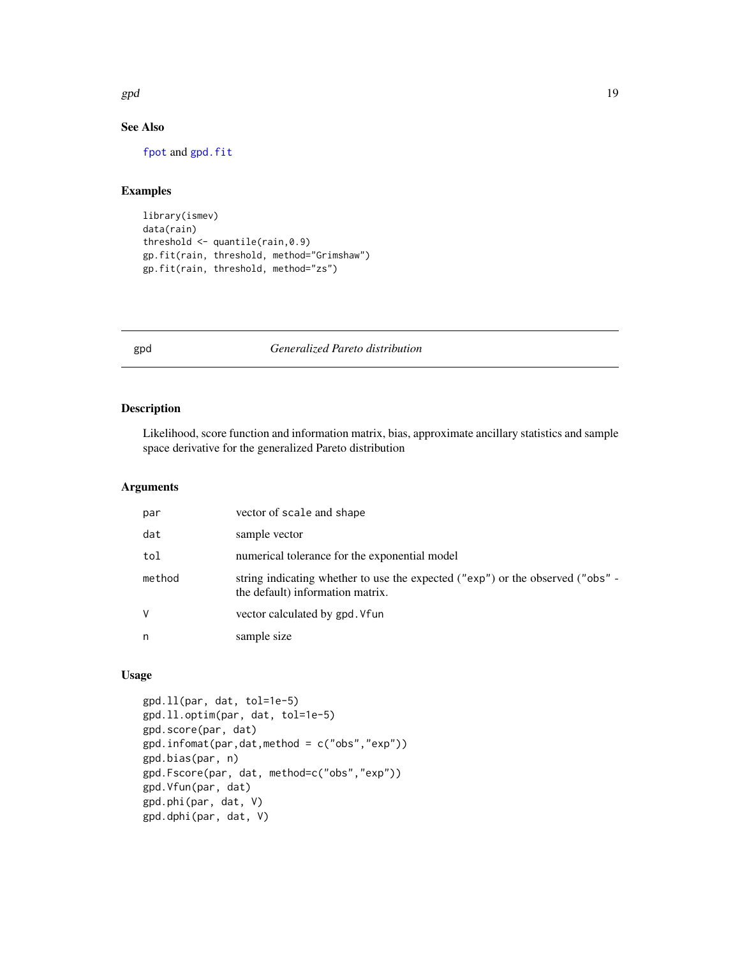<span id="page-18-0"></span> $gpd$  and the set of the set of the set of the set of the set of the set of the set of the set of the set of the set of the set of the set of the set of the set of the set of the set of the set of the set of the set of the

# See Also

[fpot](#page-0-0) and [gpd.fit](#page-0-0)

# Examples

```
library(ismev)
data(rain)
threshold <- quantile(rain,0.9)
gp.fit(rain, threshold, method="Grimshaw")
gp.fit(rain, threshold, method="zs")
```
# gpd *Generalized Pareto distribution*

# Description

Likelihood, score function and information matrix, bias, approximate ancillary statistics and sample space derivative for the generalized Pareto distribution

# Arguments

| par    | vector of scale and shape                                                                                          |
|--------|--------------------------------------------------------------------------------------------------------------------|
| dat    | sample vector                                                                                                      |
| tol    | numerical tolerance for the exponential model                                                                      |
| method | string indicating whether to use the expected ("exp") or the observed ("obs" -<br>the default) information matrix. |
| V      | vector calculated by gpd. Vfun                                                                                     |
| n      | sample size                                                                                                        |

# Usage

```
gpd.ll(par, dat, tol=1e-5)
gpd.ll.optim(par, dat, tol=1e-5)
gpd.score(par, dat)
gpd.infomat(par,dat,method = c("obs","exp"))
gpd.bias(par, n)
gpd.Fscore(par, dat, method=c("obs","exp"))
gpd.Vfun(par, dat)
gpd.phi(par, dat, V)
gpd.dphi(par, dat, V)
```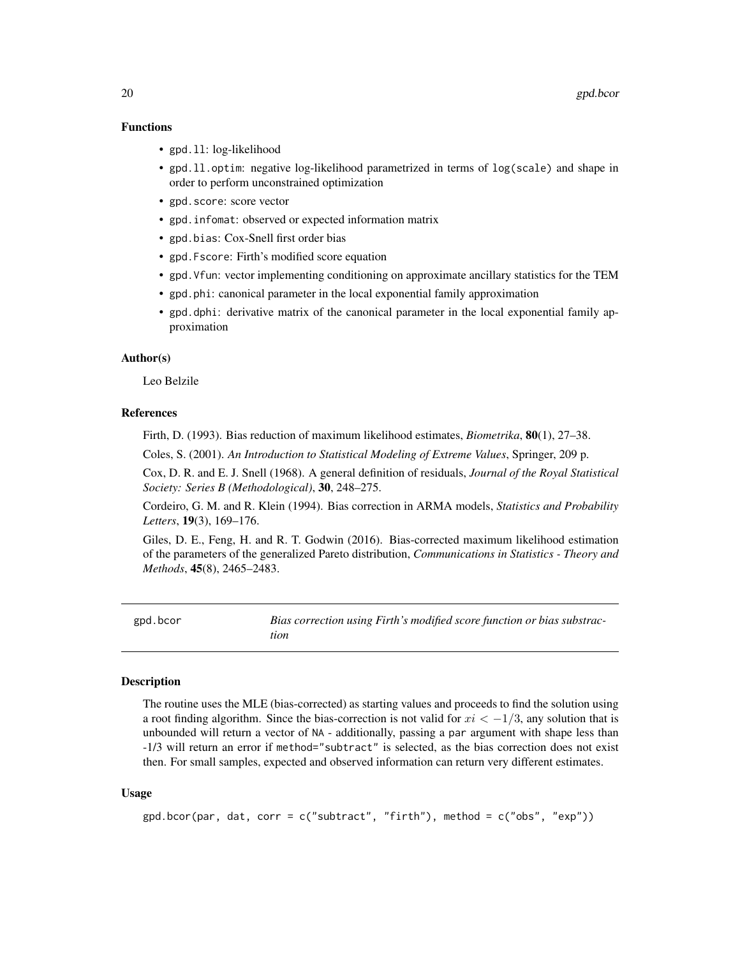# <span id="page-19-0"></span>Functions

- gpd. 11: log-likelihood
- gpd. 11. optim: negative log-likelihood parametrized in terms of log(scale) and shape in order to perform unconstrained optimization
- gpd.score: score vector
- gpd.infomat: observed or expected information matrix
- gpd.bias: Cox-Snell first order bias
- gpd.Fscore: Firth's modified score equation
- gpd.Vfun: vector implementing conditioning on approximate ancillary statistics for the TEM
- gpd.phi: canonical parameter in the local exponential family approximation
- gpd.dphi: derivative matrix of the canonical parameter in the local exponential family approximation

#### Author(s)

Leo Belzile

# References

Firth, D. (1993). Bias reduction of maximum likelihood estimates, *Biometrika*, 80(1), 27–38.

Coles, S. (2001). *An Introduction to Statistical Modeling of Extreme Values*, Springer, 209 p.

Cox, D. R. and E. J. Snell (1968). A general definition of residuals, *Journal of the Royal Statistical Society: Series B (Methodological)*, 30, 248–275.

Cordeiro, G. M. and R. Klein (1994). Bias correction in ARMA models, *Statistics and Probability Letters*, 19(3), 169–176.

Giles, D. E., Feng, H. and R. T. Godwin (2016). Bias-corrected maximum likelihood estimation of the parameters of the generalized Pareto distribution, *Communications in Statistics - Theory and Methods*, 45(8), 2465–2483.

gpd.bcor *Bias correction using Firth's modified score function or bias substraction*

#### **Description**

The routine uses the MLE (bias-corrected) as starting values and proceeds to find the solution using a root finding algorithm. Since the bias-correction is not valid for  $xi < -1/3$ , any solution that is unbounded will return a vector of NA - additionally, passing a par argument with shape less than -1/3 will return an error if method="subtract" is selected, as the bias correction does not exist then. For small samples, expected and observed information can return very different estimates.

#### Usage

```
gpd.bcor(par, dat, corr = c("subtract", "firth"), method = c("obs", "exp"))
```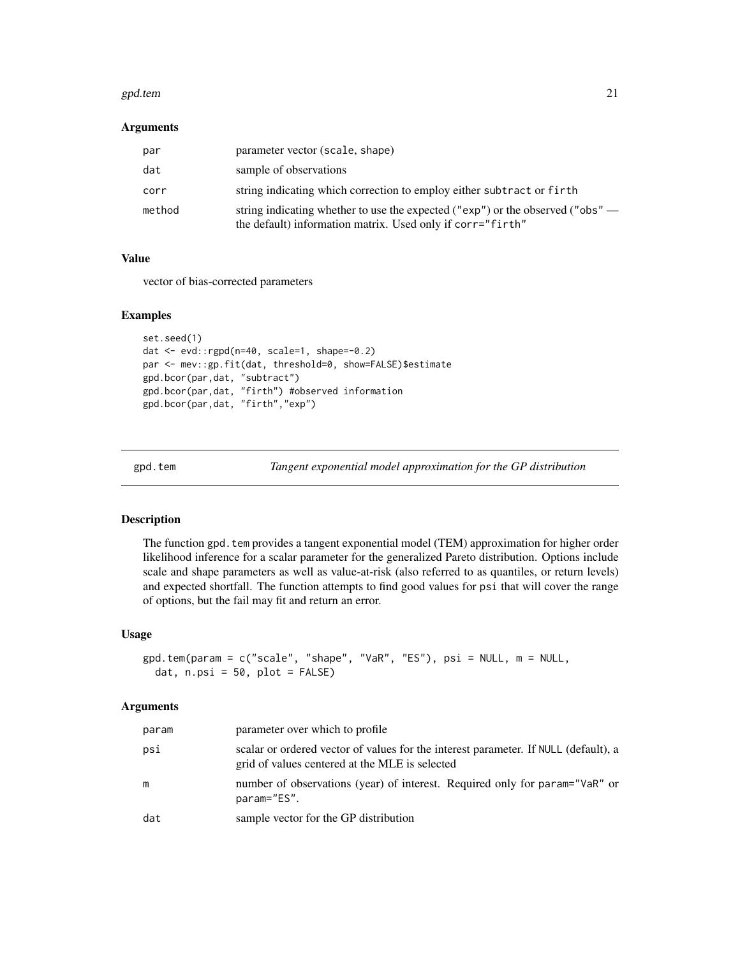#### <span id="page-20-0"></span>gpd.tem 21

# Arguments

| par    | parameter vector (scale, shape)                                                                                                              |
|--------|----------------------------------------------------------------------------------------------------------------------------------------------|
| dat    | sample of observations                                                                                                                       |
| corr   | string indicating which correction to employ either subtract or firth                                                                        |
| method | string indicating whether to use the expected ("exp") or the observed ("obs" —<br>the default) information matrix. Used only if corr="firth" |

# Value

vector of bias-corrected parameters

#### Examples

```
set.seed(1)
dat <- evd::rgpd(n=40, scale=1, shape=-0.2)
par <- mev::gp.fit(dat, threshold=0, show=FALSE)$estimate
gpd.bcor(par,dat, "subtract")
gpd.bcor(par,dat, "firth") #observed information
gpd.bcor(par,dat, "firth","exp")
```
<span id="page-20-1"></span>gpd.tem *Tangent exponential model approximation for the GP distribution*

# Description

The function gpd.tem provides a tangent exponential model (TEM) approximation for higher order likelihood inference for a scalar parameter for the generalized Pareto distribution. Options include scale and shape parameters as well as value-at-risk (also referred to as quantiles, or return levels) and expected shortfall. The function attempts to find good values for psi that will cover the range of options, but the fail may fit and return an error.

#### Usage

```
gpd.tem(param = c("scale", "shape", "VaR", "ES"), psi = NULL, m = NULL,
  dat, n.psi = 50, plot = FALSE)
```
#### Arguments

| param | parameter over which to profile                                                                                                       |
|-------|---------------------------------------------------------------------------------------------------------------------------------------|
| psi   | scalar or ordered vector of values for the interest parameter. If NULL (default), a<br>grid of values centered at the MLE is selected |
| m     | number of observations (year) of interest. Required only for param="VaR" or<br>param="ES".                                            |
| dat   | sample vector for the GP distribution                                                                                                 |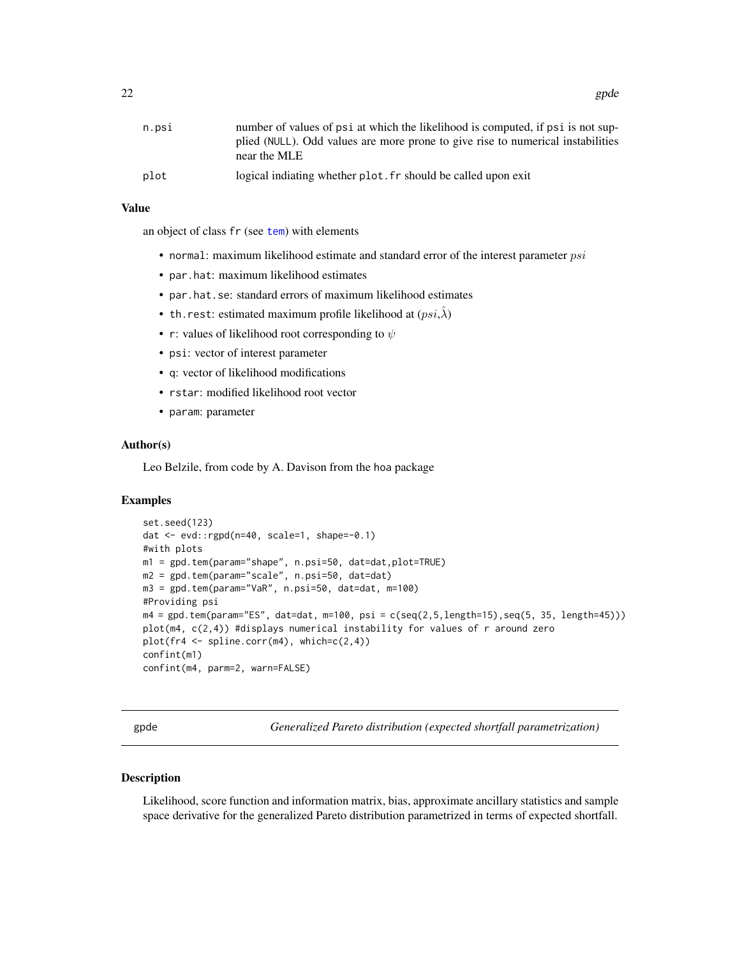<span id="page-21-0"></span>

| n.psi | number of values of psi at which the likelihood is computed, if psi is not sup-                 |
|-------|-------------------------------------------------------------------------------------------------|
|       | plied (NULL). Odd values are more prone to give rise to numerical instabilities<br>near the MLE |
| plot  | logical indiating whether plot, fr should be called upon exit                                   |

# Value

an object of class fr (see [tem](#page-0-0)) with elements

- normal: maximum likelihood estimate and standard error of the interest parameter  $psi$
- par.hat: maximum likelihood estimates
- par.hat.se: standard errors of maximum likelihood estimates
- th.rest: estimated maximum profile likelihood at  $(psi,\hat{\lambda})$
- r: values of likelihood root corresponding to  $\psi$
- psi: vector of interest parameter
- q: vector of likelihood modifications
- rstar: modified likelihood root vector
- param: parameter

# Author(s)

Leo Belzile, from code by A. Davison from the hoa package

# Examples

```
set.seed(123)
dat <- evd::rgpd(n=40, scale=1, shape=-0.1)
#with plots
m1 = gpd.tem(param="shape", n.psi=50, dat=dat,plot=TRUE)
m2 = gpd.tem(param="scale", n.psi=50, dat=dat)
m3 = gpd.tem(param="VaR", n.psi=50, dat=dat, m=100)
#Providing psi
m4 = gpd.tem(param="ES", dat=dat, m=100, psi = c(seq(2,5,length=15),seq(5, 35, length=45)))
plot(m4, c(2,4)) #displays numerical instability for values of r around zero
plot(fr4 <- spline.corr(m4), which=c(2,4))
confint(m1)
confint(m4, parm=2, warn=FALSE)
```
gpde *Generalized Pareto distribution (expected shortfall parametrization)*

#### Description

Likelihood, score function and information matrix, bias, approximate ancillary statistics and sample space derivative for the generalized Pareto distribution parametrized in terms of expected shortfall.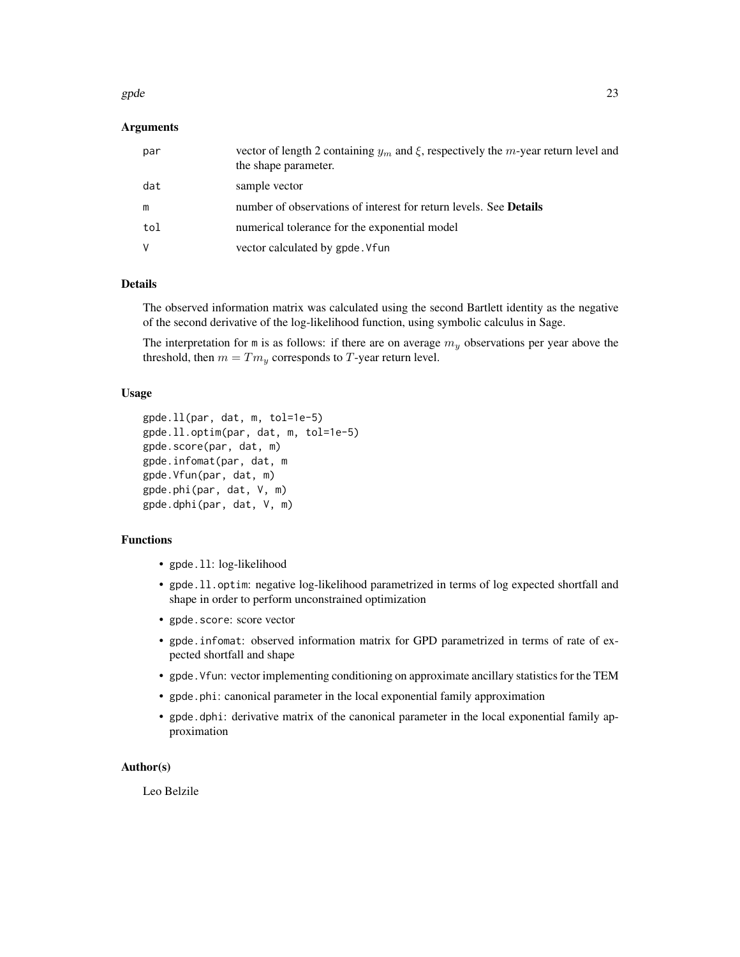#### gpde  $23$

# Arguments

| par | vector of length 2 containing $y_m$ and $\xi$ , respectively the <i>m</i> -year return level and<br>the shape parameter. |
|-----|--------------------------------------------------------------------------------------------------------------------------|
| dat | sample vector                                                                                                            |
| m   | number of observations of interest for return levels. See <b>Details</b>                                                 |
| tol | numerical tolerance for the exponential model                                                                            |
| V   | vector calculated by gpde. Vfun                                                                                          |

# Details

The observed information matrix was calculated using the second Bartlett identity as the negative of the second derivative of the log-likelihood function, using symbolic calculus in Sage.

The interpretation for m is as follows: if there are on average  $m_y$  observations per year above the threshold, then  $m = Tm_y$  corresponds to T-year return level.

# Usage

```
gpde.ll(par, dat, m, tol=1e-5)
gpde.ll.optim(par, dat, m, tol=1e-5)
gpde.score(par, dat, m)
gpde.infomat(par, dat, m
gpde.Vfun(par, dat, m)
gpde.phi(par, dat, V, m)
gpde.dphi(par, dat, V, m)
```
# Functions

- gpde.ll: log-likelihood
- gpde.ll.optim: negative log-likelihood parametrized in terms of log expected shortfall and shape in order to perform unconstrained optimization
- gpde.score: score vector
- gpde.infomat: observed information matrix for GPD parametrized in terms of rate of expected shortfall and shape
- gpde.Vfun: vector implementing conditioning on approximate ancillary statistics for the TEM
- gpde.phi: canonical parameter in the local exponential family approximation
- gpde.dphi: derivative matrix of the canonical parameter in the local exponential family approximation

# Author(s)

Leo Belzile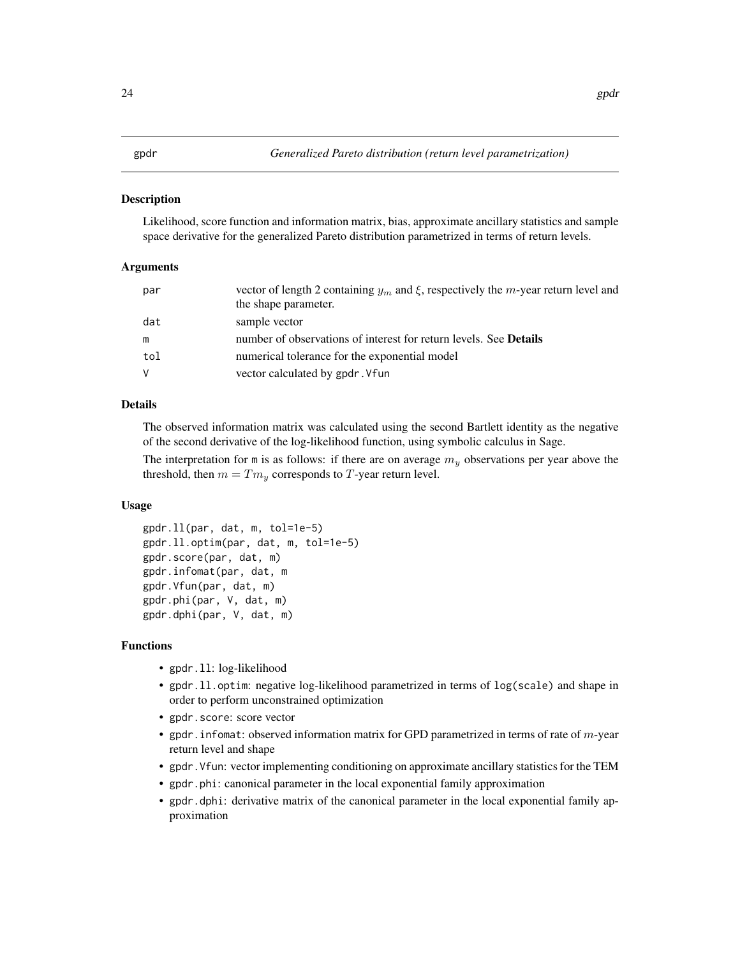# <span id="page-23-0"></span>Description

Likelihood, score function and information matrix, bias, approximate ancillary statistics and sample space derivative for the generalized Pareto distribution parametrized in terms of return levels.

#### Arguments

| par | vector of length 2 containing $y_m$ and $\xi$ , respectively the m-year return level and<br>the shape parameter. |
|-----|------------------------------------------------------------------------------------------------------------------|
| dat | sample vector                                                                                                    |
| m   | number of observations of interest for return levels. See <b>Details</b>                                         |
| tol | numerical tolerance for the exponential model                                                                    |
| V   | vector calculated by gpdr. Vfun                                                                                  |

# Details

The observed information matrix was calculated using the second Bartlett identity as the negative of the second derivative of the log-likelihood function, using symbolic calculus in Sage.

The interpretation for m is as follows: if there are on average  $m<sub>y</sub>$  observations per year above the threshold, then  $m = Tm_y$  corresponds to T-year return level.

# Usage

```
gpdr.ll(par, dat, m, tol=1e-5)
gpdr.ll.optim(par, dat, m, tol=1e-5)
gpdr.score(par, dat, m)
gpdr.infomat(par, dat, m
gpdr.Vfun(par, dat, m)
gpdr.phi(par, V, dat, m)
gpdr.dphi(par, V, dat, m)
```
# Functions

- gpdr.11: log-likelihood
- gpdr.ll.optim: negative log-likelihood parametrized in terms of log(scale) and shape in order to perform unconstrained optimization
- gpdr.score: score vector
- gpdr. infomat: observed information matrix for GPD parametrized in terms of rate of  $m$ -year return level and shape
- gpdr.Vfun: vector implementing conditioning on approximate ancillary statistics for the TEM
- gpdr.phi: canonical parameter in the local exponential family approximation
- gpdr.dphi: derivative matrix of the canonical parameter in the local exponential family approximation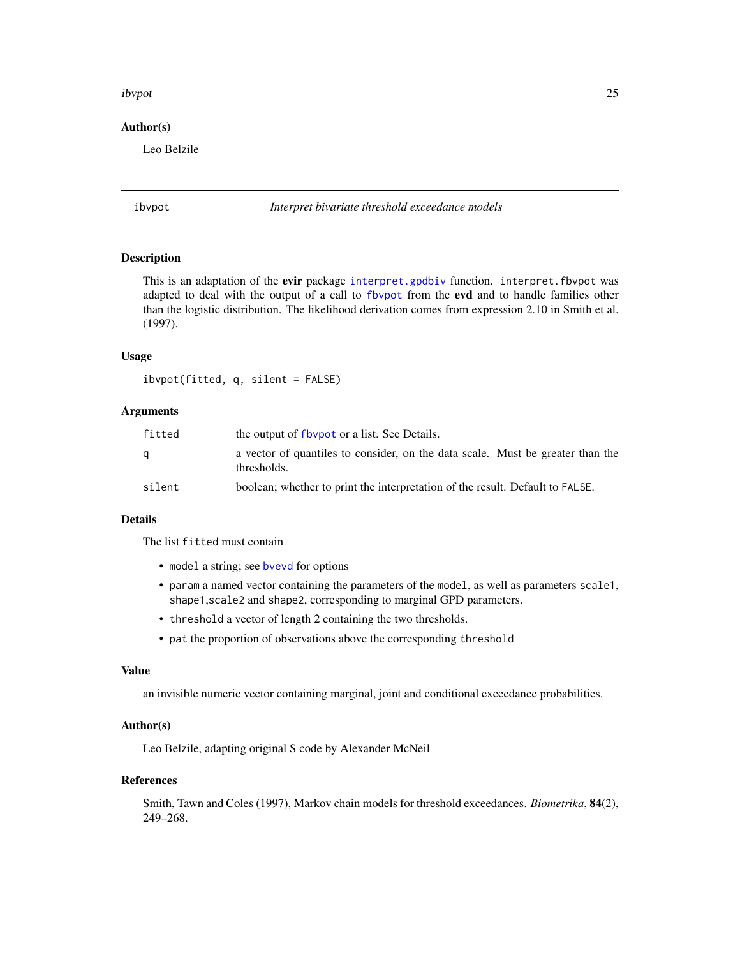#### <span id="page-24-0"></span>ibvpot 25

# Author(s)

Leo Belzile

ibvpot *Interpret bivariate threshold exceedance models*

#### Description

This is an adaptation of the evir package [interpret.gpdbiv](#page-0-0) function. interpret.fbvpot was adapted to deal with the output of a call to [fbvpot](#page-0-0) from the evd and to handle families other than the logistic distribution. The likelihood derivation comes from expression 2.10 in Smith et al. (1997).

# Usage

ibvpot(fitted, q, silent = FALSE)

# Arguments

| fitted | the output of floop to a list. See Details.                                                   |
|--------|-----------------------------------------------------------------------------------------------|
| a      | a vector of quantiles to consider, on the data scale. Must be greater than the<br>thresholds. |
| silent | boolean; whether to print the interpretation of the result. Default to FALSE.                 |

# Details

The list fitted must contain

- model a string; see [bvevd](#page-0-0) for options
- param a named vector containing the parameters of the model, as well as parameters scale1, shape1,scale2 and shape2, corresponding to marginal GPD parameters.
- threshold a vector of length 2 containing the two thresholds.
- pat the proportion of observations above the corresponding threshold

# Value

an invisible numeric vector containing marginal, joint and conditional exceedance probabilities.

# Author(s)

Leo Belzile, adapting original S code by Alexander McNeil

#### References

Smith, Tawn and Coles (1997), Markov chain models for threshold exceedances. *Biometrika*, 84(2), 249–268.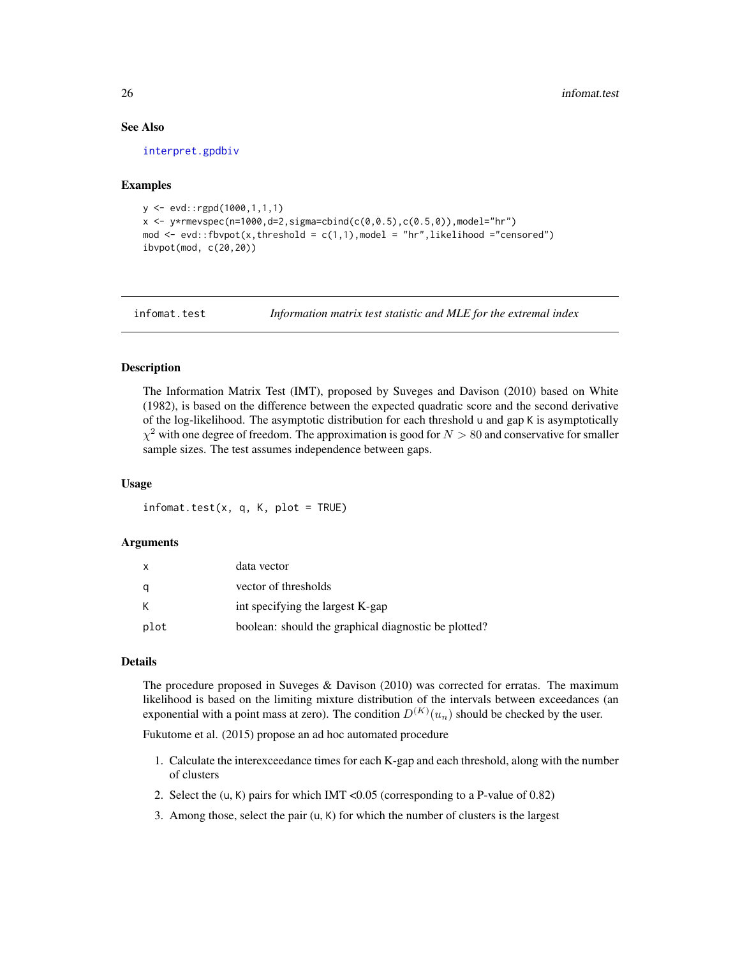#### See Also

[interpret.gpdbiv](#page-0-0)

# Examples

```
y <- evd::rgpd(1000,1,1,1)
x \le -y*rmevspec(n=1000,d=2,sigma=cbind(c(0,0.5),c(0.5,0)),model="hr")
mod \leq evd::fbvpot(x,threshold = c(1,1), model = "hr", likelihood ="censored")
ibvpot(mod, c(20,20))
```
infomat.test *Information matrix test statistic and MLE for the extremal index*

# Description

The Information Matrix Test (IMT), proposed by Suveges and Davison (2010) based on White (1982), is based on the difference between the expected quadratic score and the second derivative of the log-likelihood. The asymptotic distribution for each threshold u and gap K is asymptotically  $\chi^2$  with one degree of freedom. The approximation is good for  $N > 80$  and conservative for smaller sample sizes. The test assumes independence between gaps.

#### Usage

 $information$   $test(x, q, K, plot = TRUE)$ 

# Arguments

| X    | data vector                                          |
|------|------------------------------------------------------|
| q    | vector of thresholds                                 |
| К    | int specifying the largest K-gap                     |
| plot | boolean: should the graphical diagnostic be plotted? |

# **Details**

The procedure proposed in Suveges & Davison (2010) was corrected for erratas. The maximum likelihood is based on the limiting mixture distribution of the intervals between exceedances (an exponential with a point mass at zero). The condition  $D^{(K)}(u_n)$  should be checked by the user.

Fukutome et al. (2015) propose an ad hoc automated procedure

- 1. Calculate the interexceedance times for each K-gap and each threshold, along with the number of clusters
- 2. Select the (u, K) pairs for which IMT <0.05 (corresponding to a P-value of 0.82)
- 3. Among those, select the pair (u, K) for which the number of clusters is the largest

<span id="page-25-0"></span>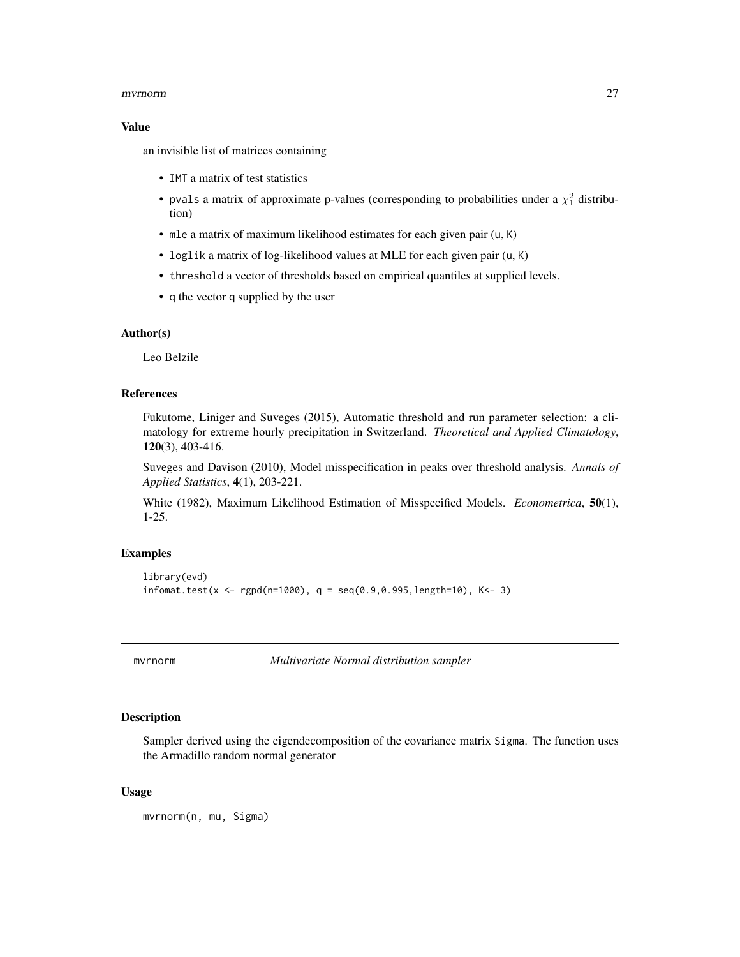#### <span id="page-26-0"></span>mvrnorm 27

#### Value

an invisible list of matrices containing

- IMT a matrix of test statistics
- pvals a matrix of approximate p-values (corresponding to probabilities under a  $\chi_1^2$  distribution)
- mle a matrix of maximum likelihood estimates for each given pair (u, K)
- loglik a matrix of log-likelihood values at MLE for each given pair (u, K)
- threshold a vector of thresholds based on empirical quantiles at supplied levels.
- q the vector q supplied by the user

# Author(s)

Leo Belzile

# References

Fukutome, Liniger and Suveges (2015), Automatic threshold and run parameter selection: a climatology for extreme hourly precipitation in Switzerland. *Theoretical and Applied Climatology*, 120(3), 403-416.

Suveges and Davison (2010), Model misspecification in peaks over threshold analysis. *Annals of Applied Statistics*, 4(1), 203-221.

White (1982), Maximum Likelihood Estimation of Misspecified Models. *Econometrica*, 50(1), 1-25.

# Examples

```
library(evd)
informationat.test(x < - rgpd(n=1000), q = seq(0.9, 0.995, length=10), K<- 3)
```
mvrnorm *Multivariate Normal distribution sampler*

#### Description

Sampler derived using the eigendecomposition of the covariance matrix Sigma. The function uses the Armadillo random normal generator

### Usage

mvrnorm(n, mu, Sigma)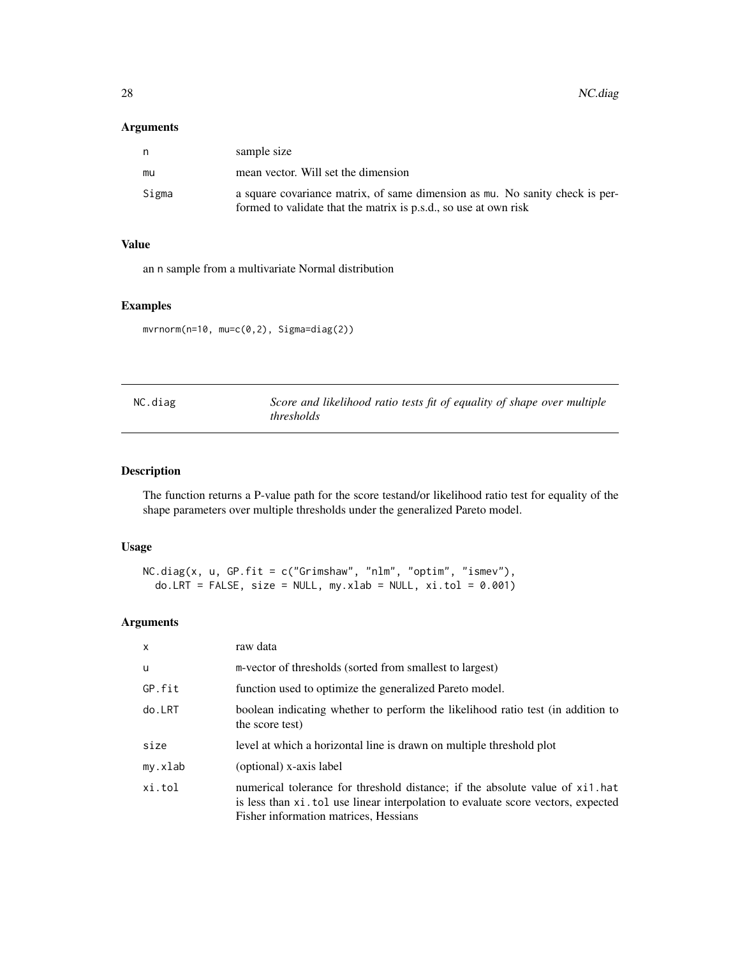# <span id="page-27-0"></span>Arguments

| n     | sample size                                                                                                                                      |
|-------|--------------------------------------------------------------------------------------------------------------------------------------------------|
| mu    | mean vector. Will set the dimension                                                                                                              |
| Sigma | a square covariance matrix, of same dimension as mu. No sanity check is per-<br>formed to validate that the matrix is p.s.d., so use at own risk |

# Value

an n sample from a multivariate Normal distribution

# Examples

mvrnorm(n=10, mu=c(0,2), Sigma=diag(2))

| NC.diag | Score and likelihood ratio tests fit of equality of shape over multiple |
|---------|-------------------------------------------------------------------------|
|         | <i>thresholds</i>                                                       |

# Description

The function returns a P-value path for the score testand/or likelihood ratio test for equality of the shape parameters over multiple thresholds under the generalized Pareto model.

# Usage

```
NC.diag(x, u, GP.fit = c("Grimshaw", "nlm", "optim", "ismev"),
  do.LRT = FALSE, size = NULL, my.xlab = NULL, xi.tol = 0.001)
```
# Arguments

| $\mathsf{x}$ | raw data                                                                                                                                                                                                   |
|--------------|------------------------------------------------------------------------------------------------------------------------------------------------------------------------------------------------------------|
| u            | m-vector of thresholds (sorted from smallest to largest)                                                                                                                                                   |
| GP.fit       | function used to optimize the generalized Pareto model.                                                                                                                                                    |
| do.LRT       | boolean indicating whether to perform the likelihood ratio test (in addition to<br>the score test)                                                                                                         |
| size         | level at which a horizontal line is drawn on multiple threshold plot                                                                                                                                       |
| my.xlab      | (optional) x-axis label                                                                                                                                                                                    |
| xi.tol       | numerical tolerance for threshold distance; if the absolute value of xi1.hat<br>is less than xi. tol use linear interpolation to evaluate score vectors, expected<br>Fisher information matrices, Hessians |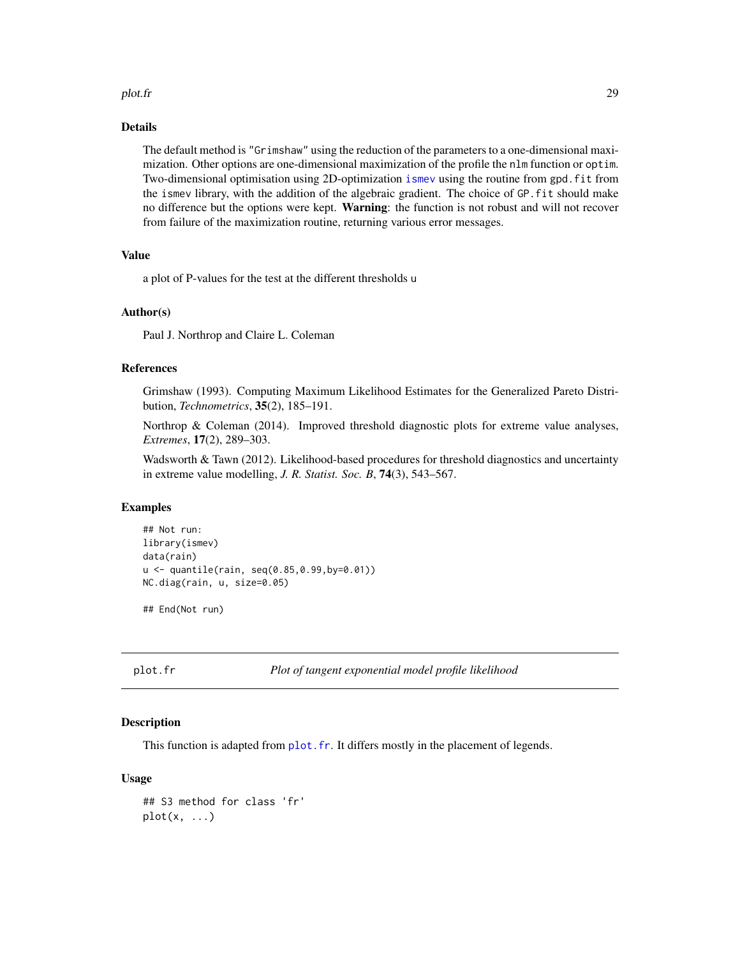#### <span id="page-28-0"></span>plot.fr 29

### Details

The default method is "Grimshaw" using the reduction of the parameters to a one-dimensional maximization. Other options are one-dimensional maximization of the profile the nlm function or optim. Two-dimensional optimisation using 2D-optimization [ismev](#page-0-0) using the routine from gpd.fit from the ismev library, with the addition of the algebraic gradient. The choice of GP.fit should make no difference but the options were kept. Warning: the function is not robust and will not recover from failure of the maximization routine, returning various error messages.

# Value

a plot of P-values for the test at the different thresholds u

#### Author(s)

Paul J. Northrop and Claire L. Coleman

# References

Grimshaw (1993). Computing Maximum Likelihood Estimates for the Generalized Pareto Distribution, *Technometrics*, 35(2), 185–191.

Northrop & Coleman (2014). Improved threshold diagnostic plots for extreme value analyses, *Extremes*, 17(2), 289–303.

Wadsworth & Tawn (2012). Likelihood-based procedures for threshold diagnostics and uncertainty in extreme value modelling, *J. R. Statist. Soc. B*, 74(3), 543–567.

# Examples

```
## Not run:
library(ismev)
data(rain)
u <- quantile(rain, seq(0.85,0.99,by=0.01))
NC.diag(rain, u, size=0.05)
```
## End(Not run)

```
plot.fr Plot of tangent exponential model profile likelihood
```
# **Description**

This function is adapted from plot. fr. It differs mostly in the placement of legends.

# Usage

```
## S3 method for class 'fr'
plot(x, \ldots)
```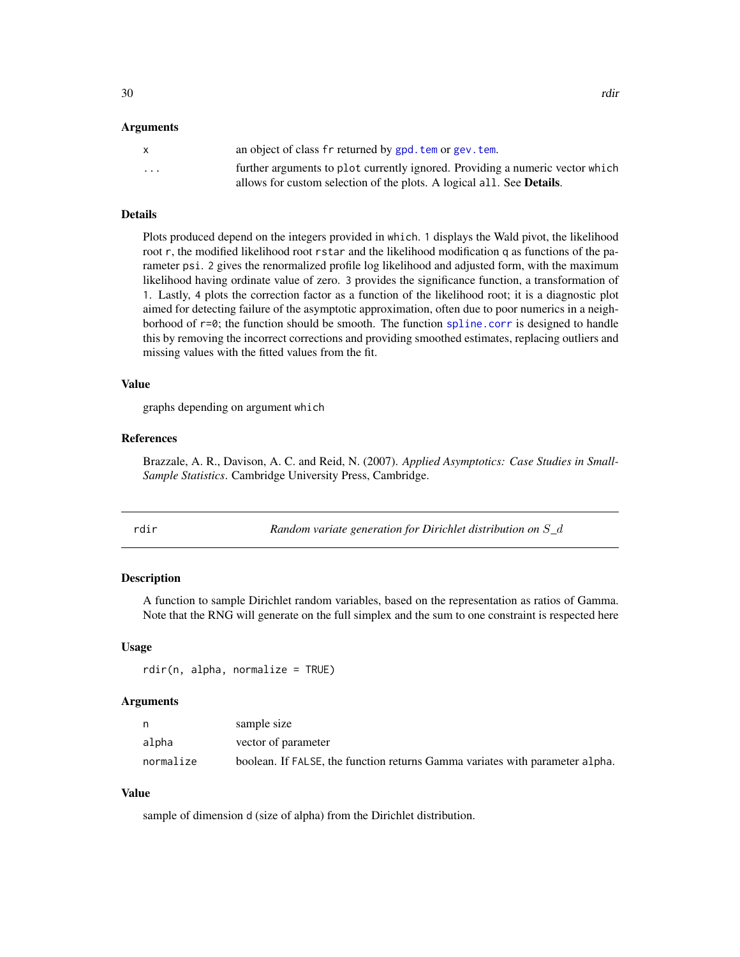# <span id="page-29-0"></span>Arguments

|                         | an object of class fr returned by gpd, tem or gev, tem.                       |
|-------------------------|-------------------------------------------------------------------------------|
| $\cdot$ $\cdot$ $\cdot$ | further arguments to plot currently ignored. Providing a numeric vector which |
|                         | allows for custom selection of the plots. A logical all. See <b>Details</b> . |

# Details

Plots produced depend on the integers provided in which. 1 displays the Wald pivot, the likelihood root r, the modified likelihood root rstar and the likelihood modification q as functions of the parameter psi. 2 gives the renormalized profile log likelihood and adjusted form, with the maximum likelihood having ordinate value of zero. 3 provides the significance function, a transformation of 1. Lastly, 4 plots the correction factor as a function of the likelihood root; it is a diagnostic plot aimed for detecting failure of the asymptotic approximation, often due to poor numerics in a neighborhood of r=0; the function should be smooth. The function [spline.corr](#page-37-1) is designed to handle this by removing the incorrect corrections and providing smoothed estimates, replacing outliers and missing values with the fitted values from the fit.

#### Value

graphs depending on argument which

# References

Brazzale, A. R., Davison, A. C. and Reid, N. (2007). *Applied Asymptotics: Case Studies in Small-Sample Statistics*. Cambridge University Press, Cambridge.

rdir *Random variate generation for Dirichlet distribution on* S*\_*d

# Description

A function to sample Dirichlet random variables, based on the representation as ratios of Gamma. Note that the RNG will generate on the full simplex and the sum to one constraint is respected here

#### Usage

```
rdir(n, alpha, normalize = TRUE)
```
# Arguments

|           | sample size                                                                  |
|-----------|------------------------------------------------------------------------------|
| alpha     | vector of parameter                                                          |
| normalize | boolean. If FALSE, the function returns Gamma variates with parameter alpha. |

# Value

sample of dimension d (size of alpha) from the Dirichlet distribution.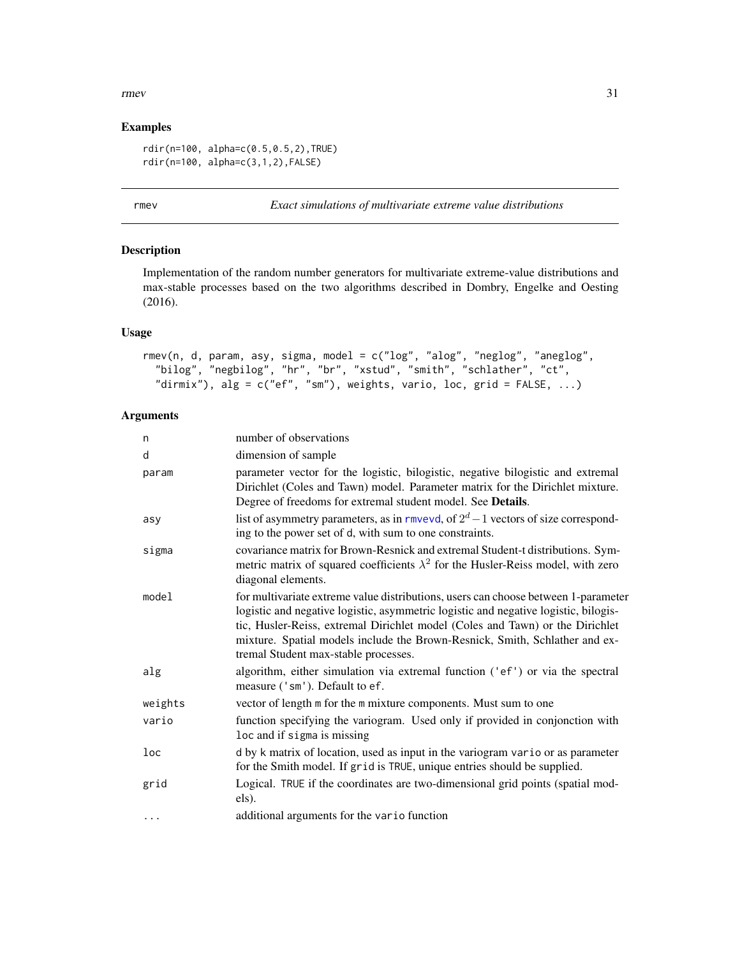#### <span id="page-30-0"></span>rmev 31

# Examples

```
rdir(n=100, alpha=c(0.5,0.5,2),TRUE)
rdir(n=100, alpha=c(3,1,2),FALSE)
```
rmev *Exact simulations of multivariate extreme value distributions*

# Description

Implementation of the random number generators for multivariate extreme-value distributions and max-stable processes based on the two algorithms described in Dombry, Engelke and Oesting (2016).

# Usage

```
rmev(n, d, param, asy, sigma, model = c("log", "alog", "neglog", "aneglog",
  "bilog", "negbilog", "hr", "br", "xstud", "smith", "schlather", "ct",
  "dirmix"), alg = c("ef", "sm"), weights, vario, loc, grid = FALSE, ...)
```
# Arguments

| n        | number of observations                                                                                                                                                                                                                                                                                                                                                            |
|----------|-----------------------------------------------------------------------------------------------------------------------------------------------------------------------------------------------------------------------------------------------------------------------------------------------------------------------------------------------------------------------------------|
| d        | dimension of sample                                                                                                                                                                                                                                                                                                                                                               |
| param    | parameter vector for the logistic, bilogistic, negative bilogistic and extremal<br>Dirichlet (Coles and Tawn) model. Parameter matrix for the Dirichlet mixture.<br>Degree of freedoms for extremal student model. See Details.                                                                                                                                                   |
| asy      | list of asymmetry parameters, as in rmvevd, of $2^d - 1$ vectors of size correspond-<br>ing to the power set of d, with sum to one constraints.                                                                                                                                                                                                                                   |
| sigma    | covariance matrix for Brown-Resnick and extremal Student-t distributions. Sym-<br>metric matrix of squared coefficients $\lambda^2$ for the Husler-Reiss model, with zero<br>diagonal elements.                                                                                                                                                                                   |
| model    | for multivariate extreme value distributions, users can choose between 1-parameter<br>logistic and negative logistic, asymmetric logistic and negative logistic, bilogis-<br>tic, Husler-Reiss, extremal Dirichlet model (Coles and Tawn) or the Dirichlet<br>mixture. Spatial models include the Brown-Resnick, Smith, Schlather and ex-<br>tremal Student max-stable processes. |
| alg      | algorithm, either simulation via extremal function ('ef') or via the spectral<br>measure ('sm'). Default to ef.                                                                                                                                                                                                                                                                   |
| weights  | vector of length m for the m mixture components. Must sum to one                                                                                                                                                                                                                                                                                                                  |
| vario    | function specifying the variogram. Used only if provided in conjonction with<br>loc and if sigma is missing                                                                                                                                                                                                                                                                       |
| loc      | d by k matrix of location, used as input in the variogram vario or as parameter<br>for the Smith model. If grid is TRUE, unique entries should be supplied.                                                                                                                                                                                                                       |
| grid     | Logical. TRUE if the coordinates are two-dimensional grid points (spatial mod-<br>els).                                                                                                                                                                                                                                                                                           |
| $\cdots$ | additional arguments for the vario function                                                                                                                                                                                                                                                                                                                                       |
|          |                                                                                                                                                                                                                                                                                                                                                                                   |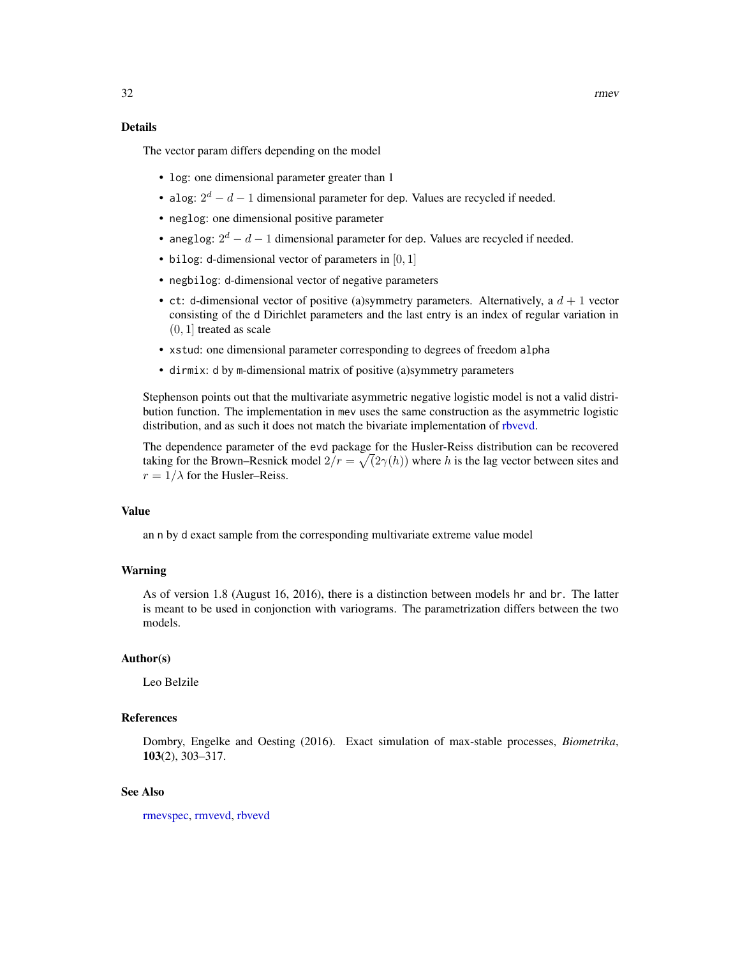# <span id="page-31-0"></span>Details

The vector param differs depending on the model

- log: one dimensional parameter greater than 1
- alog:  $2^d d 1$  dimensional parameter for dep. Values are recycled if needed.
- neglog: one dimensional positive parameter
- aneglog:  $2^d d 1$  dimensional parameter for dep. Values are recycled if needed.
- bilog: d-dimensional vector of parameters in  $[0, 1]$
- negbilog: d-dimensional vector of negative parameters
- ct: d-dimensional vector of positive (a)symmetry parameters. Alternatively, a  $d + 1$  vector consisting of the d Dirichlet parameters and the last entry is an index of regular variation in  $(0, 1]$  treated as scale
- xstud: one dimensional parameter corresponding to degrees of freedom alpha
- dirmix: d by m-dimensional matrix of positive (a)symmetry parameters

Stephenson points out that the multivariate asymmetric negative logistic model is not a valid distribution function. The implementation in mev uses the same construction as the asymmetric logistic distribution, and as such it does not match the bivariate implementation of [rbvevd.](#page-0-0)

The dependence parameter of the evd package for the Husler-Reiss distribution can be recovered taking for the Brown–Resnick model  $2/r = \sqrt{2\gamma(h)}$  where h is the lag vector between sites and  $r = 1/\lambda$  for the Husler–Reiss.

# Value

an n by d exact sample from the corresponding multivariate extreme value model

# Warning

As of version 1.8 (August 16, 2016), there is a distinction between models hr and br. The latter is meant to be used in conjonction with variograms. The parametrization differs between the two models.

# Author(s)

Leo Belzile

# References

Dombry, Engelke and Oesting (2016). Exact simulation of max-stable processes, *Biometrika*, 103(2), 303–317.

### See Also

[rmevspec,](#page-32-1) [rmvevd,](#page-0-0) [rbvevd](#page-0-0)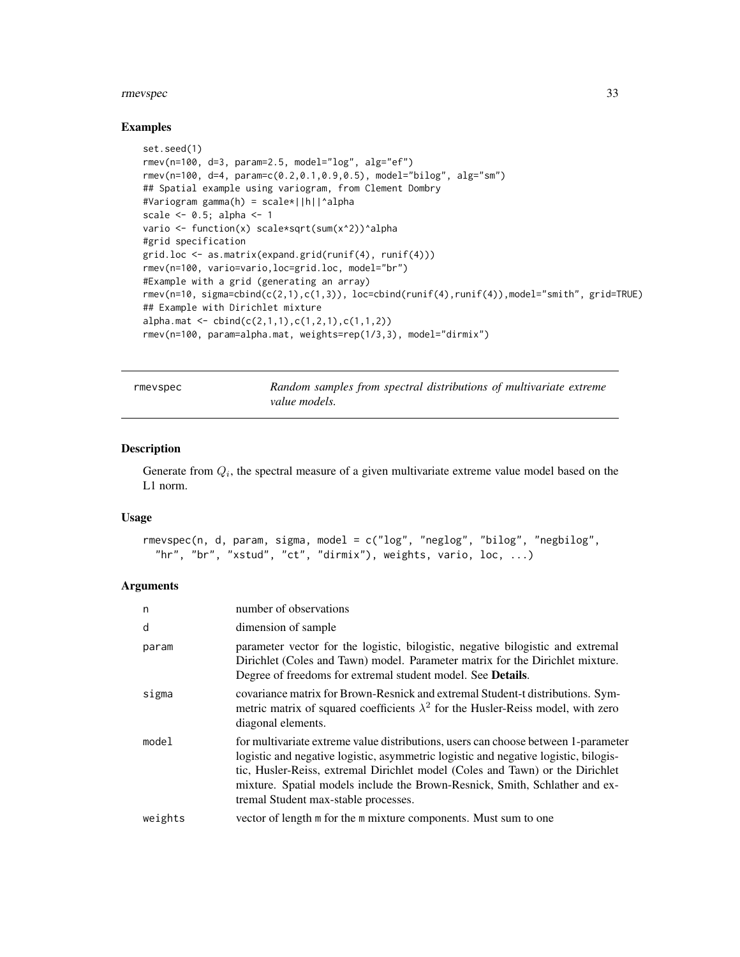#### <span id="page-32-0"></span>rmevspec 33

#### Examples

```
set.seed(1)
rmev(n=100, d=3, param=2.5, model="log", alg="ef")
rmev(n=100, d=4, param=c(0.2,0.1,0.9,0.5), model="bilog", alg="sm")
## Spatial example using variogram, from Clement Dombry
#Variogram gamma(h) = scale*||h||^alpha
scale <-0.5; alpha <-1vario <- function(x) scale*sqrt(sum(x^2))^alpha
#grid specification
grid.loc <- as.matrix(expand.grid(runif(4), runif(4)))
rmev(n=100, vario=vario,loc=grid.loc, model="br")
#Example with a grid (generating an array)
rmev(n=10, sigma=cbind(c(2,1),c(1,3)), loc=cbind(runif(4),runif(4)),model="smith", grid=TRUE)
## Example with Dirichlet mixture
alpha.\text{mat} \leftarrow \text{cbind}(c(2,1,1),c(1,2,1),c(1,1,2))rmev(n=100, param=alpha.mat, weights=rep(1/3,3), model="dirmix")
```
<span id="page-32-1"></span>rmevspec *Random samples from spectral distributions of multivariate extreme value models.*

# Description

Generate from  $Q_i$ , the spectral measure of a given multivariate extreme value model based on the L1 norm.

# Usage

```
rmevspec(n, d, param, sigma, model = c("log", "neglog", "bilog", "negbilog",
  "hr", "br", "xstud", "ct", "dirmix"), weights, vario, loc, ...)
```
# **Arguments**

| n       | number of observations                                                                                                                                                                                                                                                                                                                                                            |
|---------|-----------------------------------------------------------------------------------------------------------------------------------------------------------------------------------------------------------------------------------------------------------------------------------------------------------------------------------------------------------------------------------|
| d       | dimension of sample                                                                                                                                                                                                                                                                                                                                                               |
| param   | parameter vector for the logistic, bilogistic, negative bilogistic and extremal<br>Dirichlet (Coles and Tawn) model. Parameter matrix for the Dirichlet mixture.<br>Degree of freedoms for extremal student model. See <b>Details</b> .                                                                                                                                           |
| sigma   | covariance matrix for Brown-Resnick and extremal Student-t distributions. Sym-<br>metric matrix of squared coefficients $\lambda^2$ for the Husler-Reiss model, with zero<br>diagonal elements.                                                                                                                                                                                   |
| model   | for multivariate extreme value distributions, users can choose between 1-parameter<br>logistic and negative logistic, asymmetric logistic and negative logistic, bilogis-<br>tic, Husler-Reiss, extremal Dirichlet model (Coles and Tawn) or the Dirichlet<br>mixture. Spatial models include the Brown-Resnick, Smith, Schlather and ex-<br>tremal Student max-stable processes. |
| weights | vector of length m for the m mixture components. Must sum to one                                                                                                                                                                                                                                                                                                                  |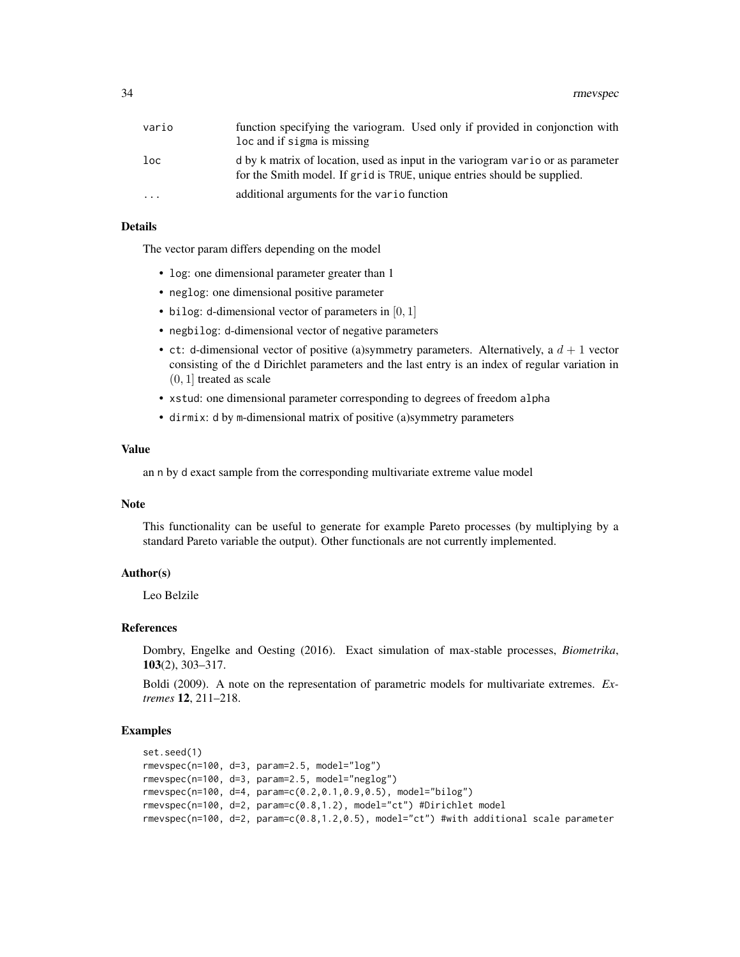| vario | function specifying the variogram. Used only if provided in conjonction with<br>loc and if sigma is missing                                                 |
|-------|-------------------------------------------------------------------------------------------------------------------------------------------------------------|
| loc   | d by k matrix of location, used as input in the variogram vario or as parameter<br>for the Smith model. If grid is TRUE, unique entries should be supplied. |
| .     | additional arguments for the vario function                                                                                                                 |

# Details

The vector param differs depending on the model

- log: one dimensional parameter greater than 1
- neglog: one dimensional positive parameter
- bilog: d-dimensional vector of parameters in  $[0, 1]$
- negbilog: d-dimensional vector of negative parameters
- ct: d-dimensional vector of positive (a)symmetry parameters. Alternatively, a  $d + 1$  vector consisting of the d Dirichlet parameters and the last entry is an index of regular variation in  $(0, 1]$  treated as scale
- xstud: one dimensional parameter corresponding to degrees of freedom alpha
- dirmix: d by m-dimensional matrix of positive (a)symmetry parameters

#### Value

an n by d exact sample from the corresponding multivariate extreme value model

# Note

This functionality can be useful to generate for example Pareto processes (by multiplying by a standard Pareto variable the output). Other functionals are not currently implemented.

# Author(s)

Leo Belzile

#### References

Dombry, Engelke and Oesting (2016). Exact simulation of max-stable processes, *Biometrika*, 103(2), 303–317.

Boldi (2009). A note on the representation of parametric models for multivariate extremes. *Extremes* 12, 211–218.

#### Examples

```
set.seed(1)
rmevspec(n=100, d=3, param=2.5, model="log")
rmevspec(n=100, d=3, param=2.5, model="neglog")
rmevspec(n=100, d=4, param=c(0.2,0.1,0.9,0.5), model="bilog")
rmevspec(n=100, d=2, param=c(0.8,1.2), model="ct") #Dirichlet model
rmevspec(n=100, d=2, param=c(0.8,1.2,0.5), model="ct") #with additional scale parameter
```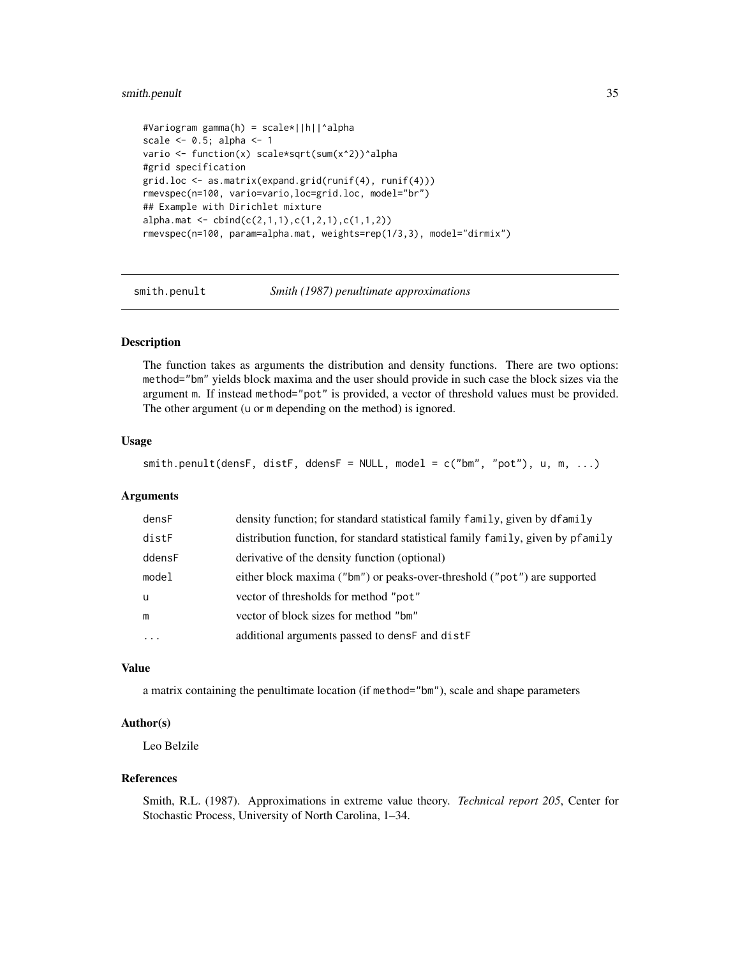# <span id="page-34-0"></span>smith.penult 35

```
#Variogram gamma(h) = scale*||h||^alpha
scale <-0.5; alpha <-1vario <- function(x) scale*sqrt(sum(x^2))^alpha
#grid specification
grid.loc <- as.matrix(expand.grid(runif(4), runif(4)))
rmevspec(n=100, vario=vario,loc=grid.loc, model="br")
## Example with Dirichlet mixture
alpha.mat <- cbind(c(2,1,1),c(1,2,1),c(1,1,2))
rmevspec(n=100, param=alpha.mat, weights=rep(1/3,3), model="dirmix")
```
<span id="page-34-1"></span>smith.penult *Smith (1987) penultimate approximations*

#### Description

The function takes as arguments the distribution and density functions. There are two options: method="bm" yields block maxima and the user should provide in such case the block sizes via the argument m. If instead method="pot" is provided, a vector of threshold values must be provided. The other argument (u or m depending on the method) is ignored.

### Usage

 $s$ mith.penult(densF, distF, ddensF = NULL, model =  $c("bm", "pot"), u, m, ...)$ 

#### Arguments

| densF    | density function; for standard statistical family family, given by dfamily      |
|----------|---------------------------------------------------------------------------------|
| distF    | distribution function, for standard statistical family family, given by pfamily |
| ddensF   | derivative of the density function (optional)                                   |
| model    | either block maxima ("bm") or peaks-over-threshold ("pot") are supported        |
| u        | vector of thresholds for method "pot"                                           |
| m        | vector of block sizes for method "bm"                                           |
| $\cdots$ | additional arguments passed to dense and dister-                                |

# Value

a matrix containing the penultimate location (if method="bm"), scale and shape parameters

# Author(s)

Leo Belzile

# References

Smith, R.L. (1987). Approximations in extreme value theory. *Technical report 205*, Center for Stochastic Process, University of North Carolina, 1–34.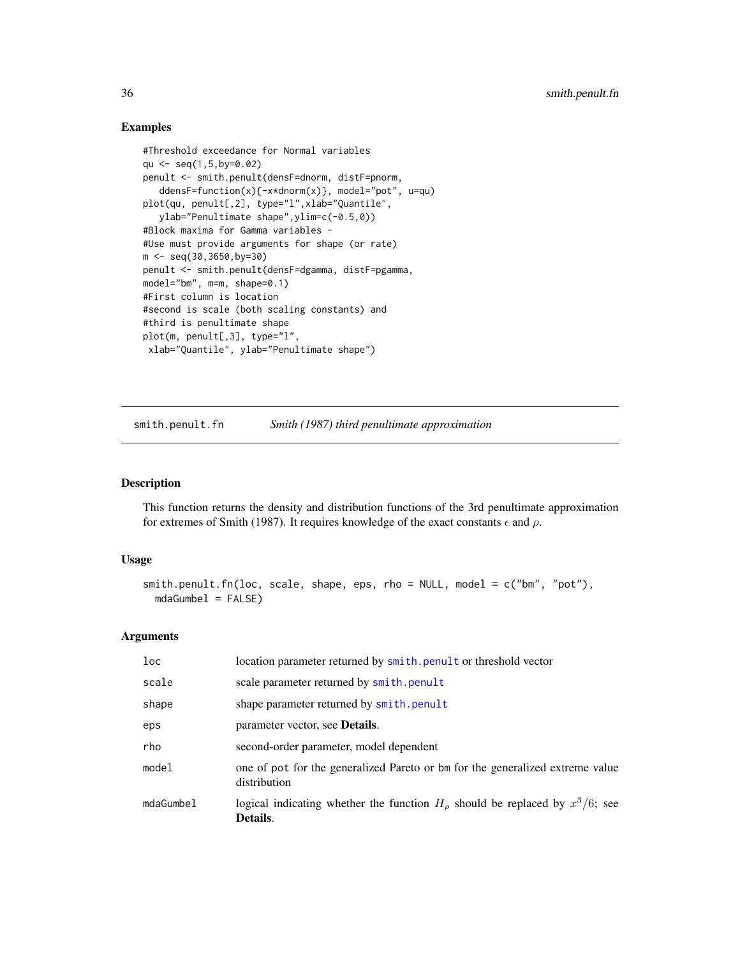# Examples

```
#Threshold exceedance for Normal variables
qu <- seq(1,5,by=0.02)
penult <- smith.penult(densF=dnorm, distF=pnorm,
   ddensF=function(x){-x*dnorm(x)}, model="pot", u=qu)
plot(qu, penult[,2], type="l",xlab="Quantile",
  ylab="Penultimate shape",ylim=c(-0.5,0))
#Block maxima for Gamma variables -
#Use must provide arguments for shape (or rate)
m <- seq(30,3650,by=30)
penult <- smith.penult(densF=dgamma, distF=pgamma,
model="bm", m=m, shape=0.1)
#First column is location
#second is scale (both scaling constants) and
#third is penultimate shape
plot(m, penult[,3], type="l",
 xlab="Quantile", ylab="Penultimate shape")
```
smith.penult.fn *Smith (1987) third penultimate approximation*

# Description

This function returns the density and distribution functions of the 3rd penultimate approximation for extremes of Smith (1987). It requires knowledge of the exact constants  $\epsilon$  and  $\rho$ .

#### Usage

```
smith.penult.fn(loc, scale, shape, eps, rho = NULL, model = c("bm", "pot"),
 mdaGumbel = FALSE)
```
#### Arguments

| loc       | location parameter returned by smith.penult or threshold vector                               |
|-----------|-----------------------------------------------------------------------------------------------|
| scale     | scale parameter returned by smith.penult                                                      |
| shape     | shape parameter returned by smith.penult                                                      |
| eps       | parameter vector, see <b>Details</b> .                                                        |
| rho       | second-order parameter, model dependent                                                       |
| model     | one of pot for the generalized Pareto or bm for the generalized extreme value<br>distribution |
| mdaGumbel | logical indicating whether the function $H_0$ should be replaced by $x^3/6$ ; see<br>Details. |

<span id="page-35-0"></span>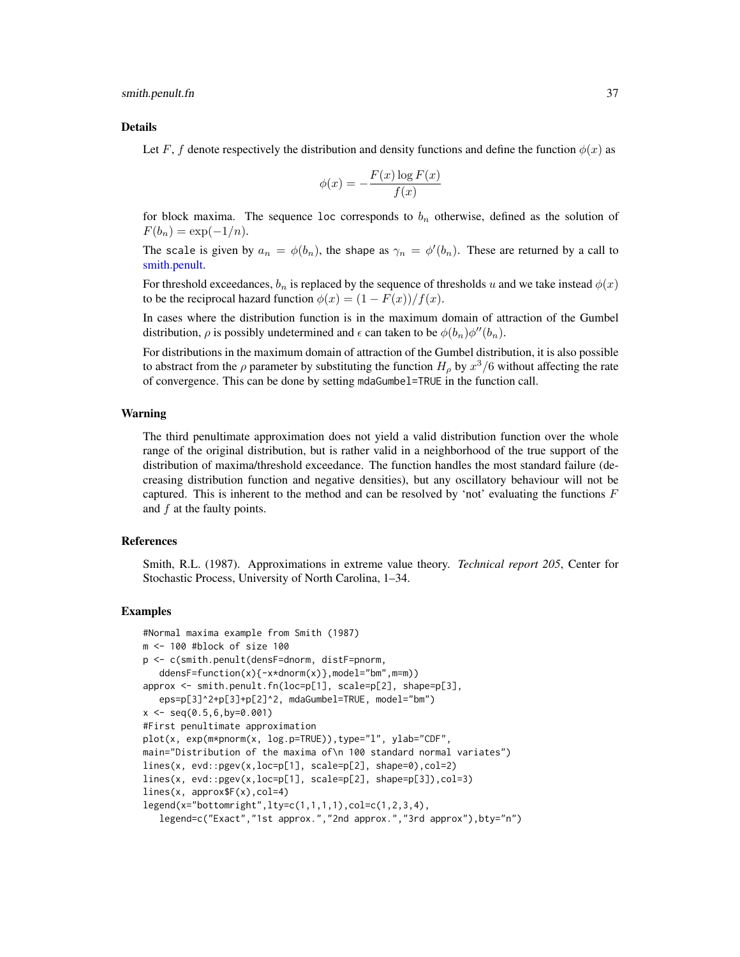<span id="page-36-0"></span>smith.penult.fn 37

#### Details

Let F, f denote respectively the distribution and density functions and define the function  $\phi(x)$  as

$$
\phi(x) = -\frac{F(x)\log F(x)}{f(x)}
$$

for block maxima. The sequence loc corresponds to  $b_n$  otherwise, defined as the solution of  $F(b_n) = \exp(-1/n).$ 

The scale is given by  $a_n = \phi(b_n)$ , the shape as  $\gamma_n = \phi'(b_n)$ . These are returned by a call to [smith.penult.](#page-34-1)

For threshold exceedances,  $b_n$  is replaced by the sequence of thresholds u and we take instead  $\phi(x)$ to be the reciprocal hazard function  $\phi(x) = (1 - F(x))/f(x)$ .

In cases where the distribution function is in the maximum domain of attraction of the Gumbel distribution,  $\rho$  is possibly undetermined and  $\epsilon$  can taken to be  $\phi(b_n)\phi''(b_n)$ .

For distributions in the maximum domain of attraction of the Gumbel distribution, it is also possible to abstract from the  $\rho$  parameter by substituting the function  $H_{\rho}$  by  $x^3/6$  without affecting the rate of convergence. This can be done by setting mdaGumbel=TRUE in the function call.

#### Warning

The third penultimate approximation does not yield a valid distribution function over the whole range of the original distribution, but is rather valid in a neighborhood of the true support of the distribution of maxima/threshold exceedance. The function handles the most standard failure (decreasing distribution function and negative densities), but any oscillatory behaviour will not be captured. This is inherent to the method and can be resolved by 'not' evaluating the functions  $F$ and  $f$  at the faulty points.

#### References

Smith, R.L. (1987). Approximations in extreme value theory. *Technical report 205*, Center for Stochastic Process, University of North Carolina, 1–34.

#### Examples

```
#Normal maxima example from Smith (1987)
m <- 100 #block of size 100
p <- c(smith.penult(densF=dnorm, distF=pnorm,
  ddensF=function(x){-x*dnorm(x)},model="bm",m=m))
approx <- smith.penult.fn(loc=p[1], scale=p[2], shape=p[3],
   eps=p[3]^2+p[3]+p[2]^2, mdaGumbel=TRUE, model="bm")
x <- seq(0.5,6,by=0.001)
#First penultimate approximation
plot(x, exp(m*pnorm(x, log.p=TRUE)),type="l", ylab="CDF",
main="Distribution of the maxima of\n 100 standard normal variates")
lines(x, evd::pgev(x,loc=p[1], scale=p[2], shape=0),col=2)
lines(x, evd::pgev(x,loc=p[1], scale=p[2], shape=p[3]),col=3)
lines(x, approx$F(x),col=4)
legend(x="bottomright",lty=c(1,1,1,1),col=c(1,2,3,4),
   legend=c("Exact","1st approx.","2nd approx.","3rd approx"),bty="n")
```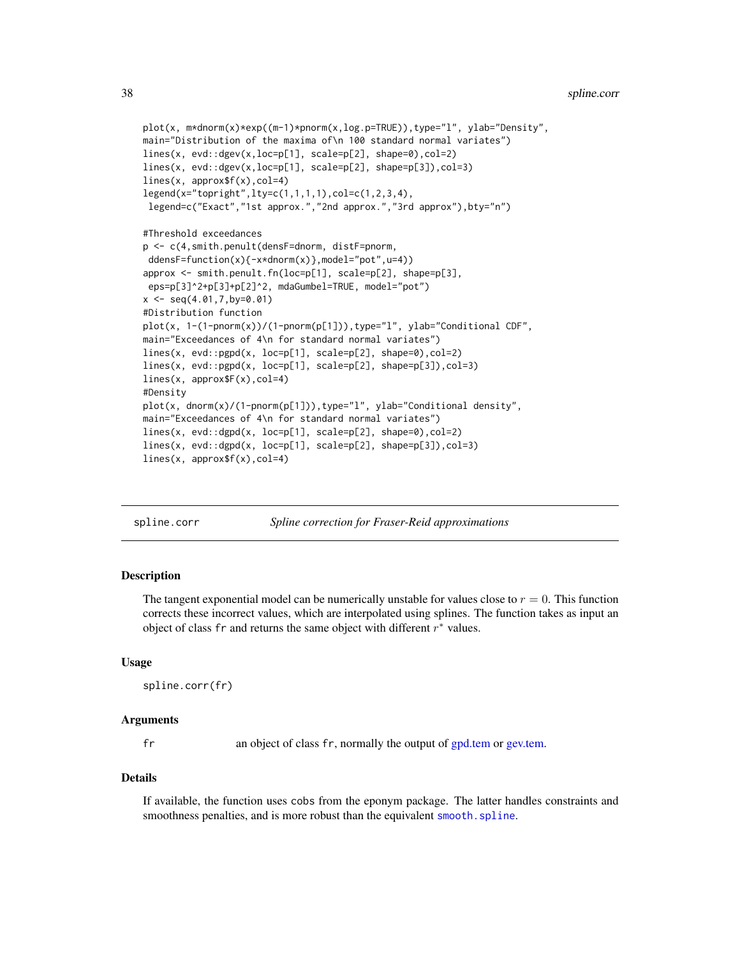```
plot(x, m*dnorm(x)*exp((m-1)*pnorm(x,log.p=TRUE)),type="l", ylab="Density",
main="Distribution of the maxima of\n 100 standard normal variates")
lines(x, evd::dgev(x,loc=p[1], scale=p[2], shape=0),col=2)
lines(x, evd::dgev(x,loc=p[1], scale=p[2], shape=p[3]),col=3)
lines(x, approx$f(x),col=4)
legend(x="topright",lty=c(1,1,1,1),col=c(1,2,3,4),
legend=c("Exact","1st approx.","2nd approx.","3rd approx"),bty="n")
#Threshold exceedances
p <- c(4,smith.penult(densF=dnorm, distF=pnorm,
ddensF=function(x){-x*dnorm(x)},model="pot",u=4))
approx <- smith.penult.fn(loc=p[1], scale=p[2], shape=p[3],
eps=p[3]^2+p[3]+p[2]^2, mdaGumbel=TRUE, model="pot")
x \leq -\text{seq}(4.01, 7, \text{by=0.01})#Distribution function
plot(x, 1-(1-pnorm(x))/(1-pnorm(p[1])),type="l", ylab="Conditional CDF",
main="Exceedances of 4\n for standard normal variates")
lines(x, evd::pgpd(x, loc=p[1], scale=p[2], shape=0),col=2)
lines(x, evd::pgpd(x, loc=p[1], scale=p[2], shape=p[3]),col=3)
lines(x, approx$F(x),col=4)
#Density
plot(x, dnorm(x)/(1-pnorm(p[1])),type="l", ylab="Conditional density",
main="Exceedances of 4\n for standard normal variates")
lines(x, evd::dgpd(x, loc=p[1], scale=p[2], shape=0),col=2)
lines(x, evd::dgpd(x, loc=p[1], scale=p[2], shape=p[3]),col=3)
lines(x, approx$f(x),col=4)
```
spline.corr *Spline correction for Fraser-Reid approximations*

# Description

The tangent exponential model can be numerically unstable for values close to  $r = 0$ . This function corrects these incorrect values, which are interpolated using splines. The function takes as input an object of class fr and returns the same object with different  $r^*$  values.

#### Usage

```
spline.corr(fr)
```
#### Arguments

fr an object of class fr, normally the output of [gpd.tem](#page-20-1) or [gev.tem.](#page-13-1)

#### Details

If available, the function uses cobs from the eponym package. The latter handles constraints and smoothness penalties, and is more robust than the equivalent [smooth.spline](#page-0-0).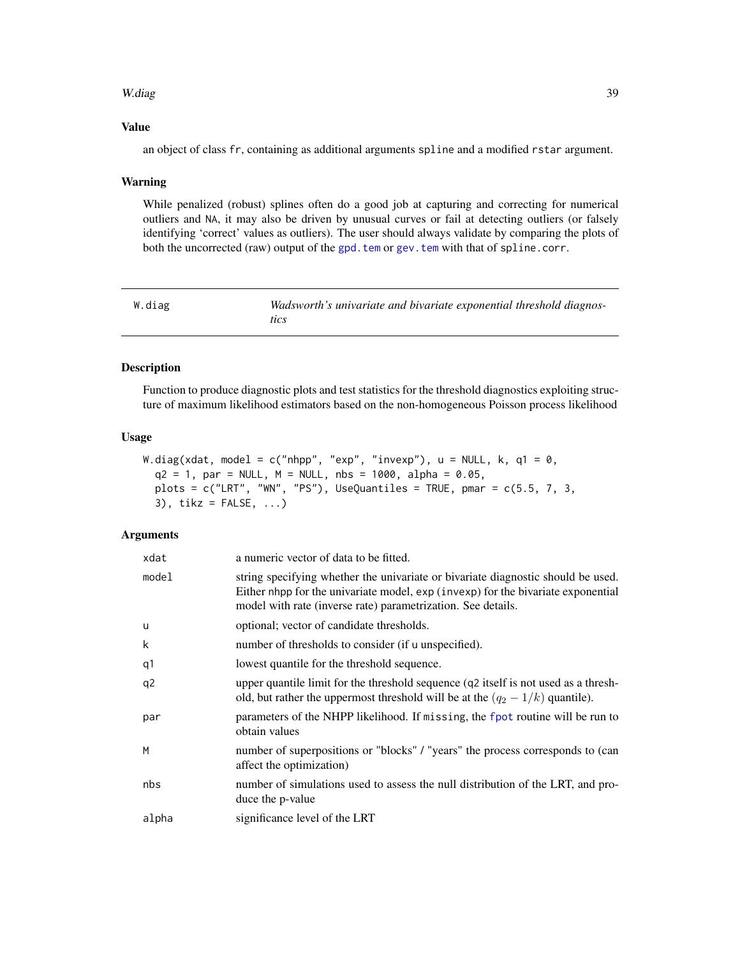#### <span id="page-38-0"></span>W.diag 39

# Value

an object of class fr, containing as additional arguments spline and a modified rstar argument.

#### Warning

While penalized (robust) splines often do a good job at capturing and correcting for numerical outliers and NA, it may also be driven by unusual curves or fail at detecting outliers (or falsely identifying 'correct' values as outliers). The user should always validate by comparing the plots of both the uncorrected (raw) output of the gpd. tem or gev. tem with that of spline.corr.

| W.diag | Wadsworth's univariate and bivariate exponential threshold diagnos- |
|--------|---------------------------------------------------------------------|
|        | tics                                                                |

# Description

Function to produce diagnostic plots and test statistics for the threshold diagnostics exploiting structure of maximum likelihood estimators based on the non-homogeneous Poisson process likelihood

# Usage

```
W.diag(xdat, model = c("nhpp", "exp", "invexp"), u = NULL, k, q1 = 0,
  q2 = 1, par = NULL, M = NULL, nbs = 1000, alpha = 0.05,
  plots = c("LRT", "WN", "PS"), UseQuantiles = TRUE, pmar = <math>c(5.5, 7, 3,</math>3), tikz = FALSE, ...)
```
#### **Arguments**

| xdat  | a numeric vector of data to be fitted.                                                                                                                                                                                               |
|-------|--------------------------------------------------------------------------------------------------------------------------------------------------------------------------------------------------------------------------------------|
| model | string specifying whether the univariate or bivariate diagnostic should be used.<br>Either nhpp for the univariate model, exp (invexp) for the bivariate exponential<br>model with rate (inverse rate) parametrization. See details. |
| u     | optional; vector of candidate thresholds.                                                                                                                                                                                            |
| k     | number of thresholds to consider (if u unspecified).                                                                                                                                                                                 |
| q1    | lowest quantile for the threshold sequence.                                                                                                                                                                                          |
| q2    | upper quantile limit for the threshold sequence (q2 itself is not used as a thresh-<br>old, but rather the uppermost threshold will be at the $(q_2 - 1/k)$ quantile).                                                               |
| par   | parameters of the NHPP likelihood. If missing, the fpot routine will be run to<br>obtain values                                                                                                                                      |
| M     | number of superpositions or "blocks" / "years" the process corresponds to (can<br>affect the optimization)                                                                                                                           |
| nbs   | number of simulations used to assess the null distribution of the LRT, and pro-<br>duce the p-value                                                                                                                                  |
| alpha | significance level of the LRT                                                                                                                                                                                                        |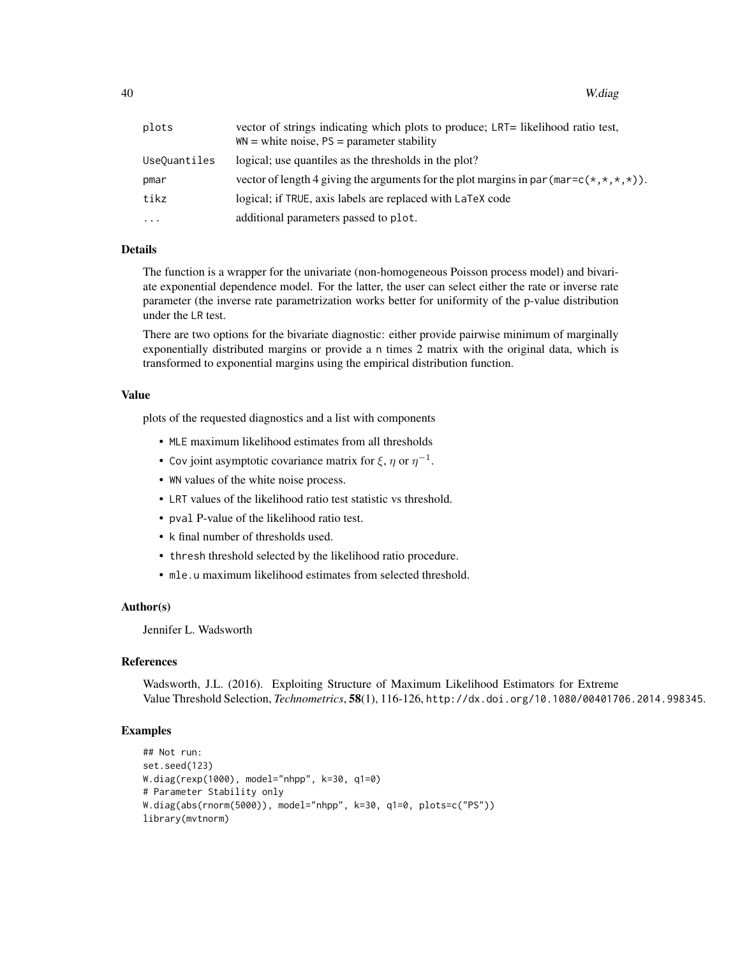| plots        | vector of strings indicating which plots to produce; LRT= likelihood ratio test,<br>$WN = white noise, PS = parameter stability$ |
|--------------|----------------------------------------------------------------------------------------------------------------------------------|
| UseQuantiles | logical; use quantiles as the thresholds in the plot?                                                                            |
| pmar         | vector of length 4 giving the arguments for the plot margins in par (mar= $c(*,*,*,*)$ ).                                        |
| tikz         | logical; if TRUE, axis labels are replaced with LaTeX code                                                                       |
| .            | additional parameters passed to plot.                                                                                            |

# Details

The function is a wrapper for the univariate (non-homogeneous Poisson process model) and bivariate exponential dependence model. For the latter, the user can select either the rate or inverse rate parameter (the inverse rate parametrization works better for uniformity of the p-value distribution under the LR test.

There are two options for the bivariate diagnostic: either provide pairwise minimum of marginally exponentially distributed margins or provide a n times 2 matrix with the original data, which is transformed to exponential margins using the empirical distribution function.

#### Value

plots of the requested diagnostics and a list with components

- MLE maximum likelihood estimates from all thresholds
- Cov joint asymptotic covariance matrix for  $\xi$ ,  $\eta$  or  $\eta^{-1}$ .
- WN values of the white noise process.
- LRT values of the likelihood ratio test statistic vs threshold.
- pval P-value of the likelihood ratio test.
- k final number of thresholds used.
- thresh threshold selected by the likelihood ratio procedure.
- mle.u maximum likelihood estimates from selected threshold.

# Author(s)

Jennifer L. Wadsworth

# **References**

Wadsworth, J.L. (2016). Exploiting Structure of Maximum Likelihood Estimators for Extreme Value Threshold Selection, *Technometrics*, 58(1), 116-126, http://dx.doi.org/10.1080/00401706.2014.998345.

#### Examples

```
## Not run:
set.seed(123)
W.diag(rexp(1000), model="nhpp", k=30, q1=0)
# Parameter Stability only
W.diag(abs(rnorm(5000)), model="nhpp", k=30, q1=0, plots=c("PS"))
library(mvtnorm)
```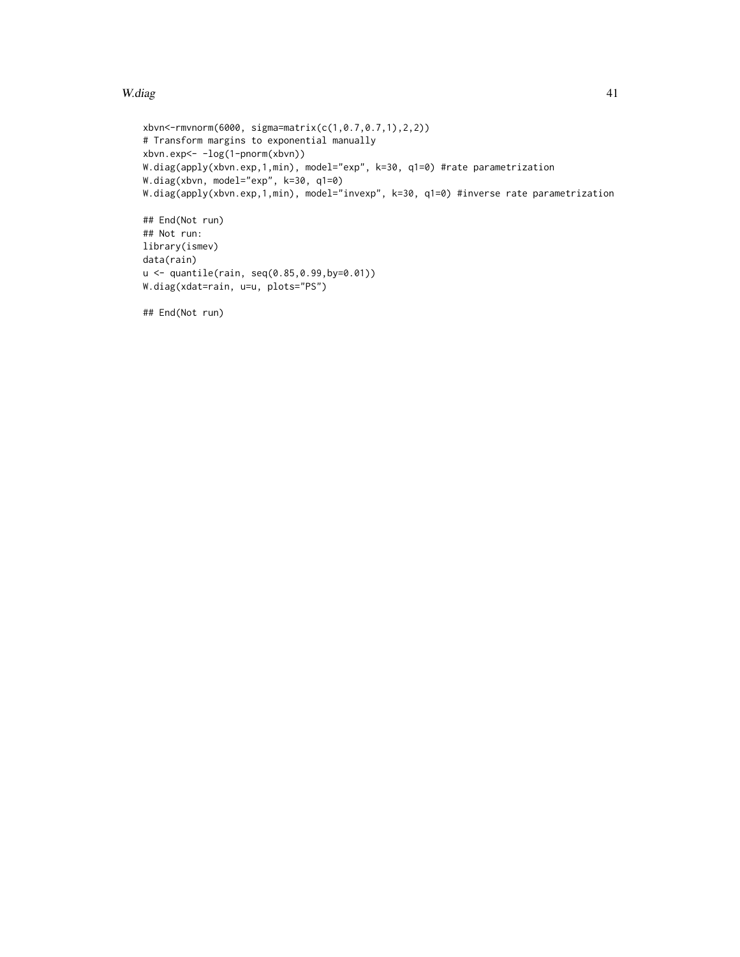# W.diag  $\frac{41}{41}$

```
xbvn<-rmvnorm(6000, sigma=matrix(c(1,0.7,0.7,1),2,2))
# Transform margins to exponential manually
xbvn.exp<- -log(1-pnorm(xbvn))
W.diag(apply(xbvn.exp,1,min), model="exp", k=30, q1=0) #rate parametrization
W.diag(xbvn, model="exp", k=30, q1=0)
W.diag(apply(xbvn.exp,1,min), model="invexp", k=30, q1=0) #inverse rate parametrization
## End(Not run)
## Not run:
library(ismev)
data(rain)
u <- quantile(rain, seq(0.85,0.99,by=0.01))
W.diag(xdat=rain, u=u, plots="PS")
## End(Not run)
```